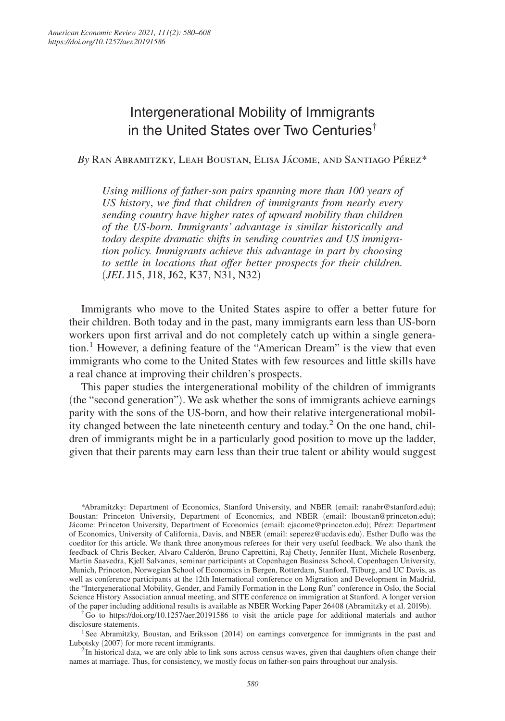# Intergenerational Mobility of Immigrants in the United States over Two Centuries†

*By* Ran Abramitzky, Leah Boustan, Elisa Jácome, and Santiago Pérez\*

*Using millions of father-son pairs spanning more than 100 years of US history*, *we find that children of immigrants from nearly every sending country have higher rates of upward mobility than children of the US-born. Immigrants' advantage is similar historically and today despite dramatic shifts in sending countries and US immigration policy. Immigrants achieve this advantage in part by choosing to settle in locations that offer better prospects for their children.*  (*JEL* J15, J18, J62, K37, N31, N32)

Immigrants who move to the United States aspire to offer a better future for their children. Both today and in the past, many immigrants earn less than US-born workers upon first arrival and do not completely catch up within a single generation.<sup>1</sup> However, a defining feature of the "American Dream" is the view that even immigrants who come to the United States with few resources and little skills have a real chance at improving their children's prospects.

This paper studies the intergenerational mobility of the children of immigrants (the "second generation"). We ask whether the sons of immigrants achieve earnings parity with the sons of the US-born, and how their relative intergenerational mobility changed between the late nineteenth century and today.<sup>2</sup> On the one hand, children of immigrants might be in a particularly good position to move up the ladder, given that their parents may earn less than their true talent or ability would suggest

\*Abramitzky: Department of Economics, Stanford University, and NBER (email: ranabr@stanford.edu); Boustan: Princeton University, Department of Economics, and NBER (email: lboustan@princeton.edu); Jácome: Princeton University, Department of Economics (email: ejacome@princeton.edu); Pérez: Department of Economics, University of California, Davis, and NBER (email: seperez@ucdavis.edu). Esther Duflo was the coeditor for this article. We thank three anonymous referees for their very useful feedback. We also thank the feedback of Chris Becker, Alvaro Calderón, Bruno Caprettini, Raj Chetty, Jennifer Hunt, Michele Rosenberg, Martin Saavedra, Kjell Salvanes, seminar participants at Copenhagen Business School, Copenhagen University, Munich, Princeton, Norwegian School of Economics in Bergen, Rotterdam, Stanford, Tilburg, and UC Davis, as well as conference participants at the 12th International conference on Migration and Development in Madrid, the "Intergenerational Mobility, Gender, and Family Formation in the Long Run" conference in Oslo, the Social Science History Association annual meeting, and SITE conference on immigration at Stanford. A longer version of the paper including additional results is available as NBER Working Paper 26408 (Abramitzky et al. 2019b).

† Go to https://doi.org/10.1257/aer.20191586 to visit the article page for additional materials and author disclosure statements.

<sup>1</sup>See Abramitzky, Boustan, and Eriksson (2014) on earnings convergence for immigrants in the past and Lubotsky (2007) for more recent immigrants.

<sup>2</sup>In historical data, we are only able to link sons across census waves, given that daughters often change their names at marriage. Thus, for consistency, we mostly focus on father-son pairs throughout our analysis.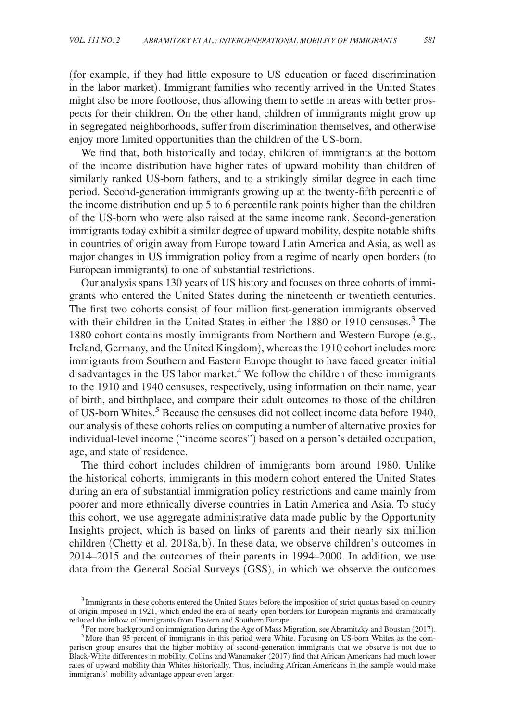(for example, if they had little exposure to US education or faced discrimination in the labor market). Immigrant families who recently arrived in the United States might also be more footloose, thus allowing them to settle in areas with better prospects for their children. On the other hand, children of immigrants might grow up in segregated neighborhoods, suffer from discrimination themselves, and otherwise enjoy more limited opportunities than the children of the US-born.

We find that, both historically and today, children of immigrants at the bottom of the income distribution have higher rates of upward mobility than children of similarly ranked US-born fathers, and to a strikingly similar degree in each time period. Second-generation immigrants growing up at the twenty-fifth percentile of the income distribution end up 5 to 6 percentile rank points higher than the children of the US-born who were also raised at the same income rank. Second-generation immigrants today exhibit a similar degree of upward mobility, despite notable shifts in countries of origin away from Europe toward Latin America and Asia, as well as major changes in US immigration policy from a regime of nearly open borders (to European immigrants) to one of substantial restrictions.

Our analysis spans 130 years of US history and focuses on three cohorts of immigrants who entered the United States during the nineteenth or twentieth centuries. The first two cohorts consist of four million first-generation immigrants observed with their children in the United States in either the 1880 or 1910 censuses.<sup>3</sup> The 1880 cohort contains mostly immigrants from Northern and Western Europe (e.g., Ireland, Germany, and the United Kingdom), whereas the 1910 cohort includes more immigrants from Southern and Eastern Europe thought to have faced greater initial disadvantages in the US labor market.<sup>4</sup> We follow the children of these immigrants to the 1910 and 1940 censuses, respectively, using information on their name, year of birth, and birthplace, and compare their adult outcomes to those of the children of US-born Whites.<sup>5</sup> Because the censuses did not collect income data before 1940, our analysis of these cohorts relies on computing a number of alternative proxies for individual-level income ("income scores") based on a person's detailed occupation, age, and state of residence.

The third cohort includes children of immigrants born around 1980. Unlike the historical cohorts, immigrants in this modern cohort entered the United States during an era of substantial immigration policy restrictions and came mainly from poorer and more ethnically diverse countries in Latin America and Asia. To study this cohort, we use aggregate administrative data made public by the Opportunity Insights project, which is based on links of parents and their nearly six million children (Chetty et al. 2018a, b). In these data, we observe children's outcomes in 2014–2015 and the outcomes of their parents in 1994–2000. In addition, we use data from the General Social Surveys (GSS), in which we observe the outcomes

<sup>&</sup>lt;sup>3</sup> Immigrants in these cohorts entered the United States before the imposition of strict quotas based on country of origin imposed in 1921, which ended the era of nearly open borders for European migrants and dramatically reduced the inflow of immigrants from Eastern and Southern Europe.

<sup>&</sup>lt;sup>4</sup>For more background on immigration during the Age of Mass Migration, see Abramitzky and Boustan (2017).

<sup>5</sup>More than 95 percent of immigrants in this period were White. Focusing on US-born Whites as the comparison group ensures that the higher mobility of second-generation immigrants that we observe is not due to Black-White differences in mobility. Collins and Wanamaker (2017) find that African Americans had much lower rates of upward mobility than Whites historically. Thus, including African Americans in the sample would make immigrants' mobility advantage appear even larger.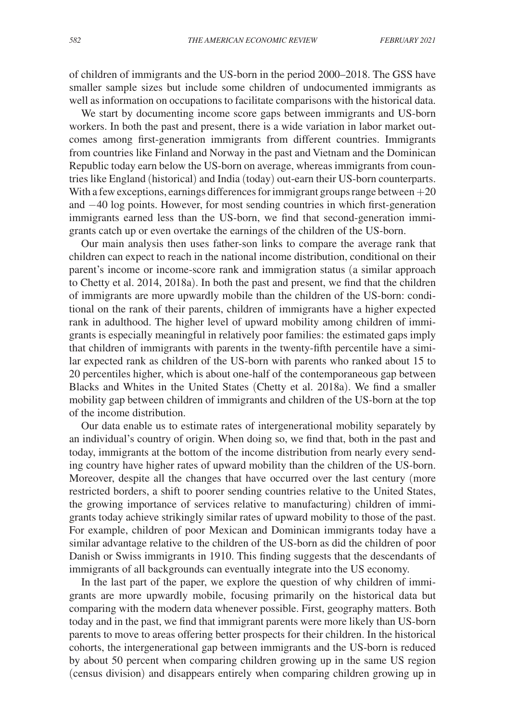of children of immigrants and the US-born in the period 2000–2018. The GSS have smaller sample sizes but include some children of undocumented immigrants as well as information on occupations to facilitate comparisons with the historical data.

We start by documenting income score gaps between immigrants and US-born workers. In both the past and present, there is a wide variation in labor market outcomes among first-generation immigrants from different countries. Immigrants from countries like Finland and Norway in the past and Vietnam and the Dominican Republic today earn below the US-born on average, whereas immigrants from countries like England (historical) and India (today) out-earn their US-born counterparts. With a few exceptions, earnings differences for immigrant groups range between  $+20$ and −40 log points. However, for most sending countries in which first-generation immigrants earned less than the US-born, we find that second-generation immigrants catch up or even overtake the earnings of the children of the US-born.

Our main analysis then uses father-son links to compare the average rank that children can expect to reach in the national income distribution, conditional on their parent's income or income-score rank and immigration status (a similar approach to Chetty et al. 2014, 2018a). In both the past and present, we find that the children of immigrants are more upwardly mobile than the children of the US-born: conditional on the rank of their parents, children of immigrants have a higher expected rank in adulthood. The higher level of upward mobility among children of immigrants is especially meaningful in relatively poor families: the estimated gaps imply that children of immigrants with parents in the twenty-fifth percentile have a similar expected rank as children of the US-born with parents who ranked about 15 to 20 percentiles higher, which is about one-half of the contemporaneous gap between Blacks and Whites in the United States (Chetty et al. 2018a). We find a smaller mobility gap between children of immigrants and children of the US-born at the top of the income distribution.

Our data enable us to estimate rates of intergenerational mobility separately by an individual's country of origin. When doing so, we find that, both in the past and today, immigrants at the bottom of the income distribution from nearly every sending country have higher rates of upward mobility than the children of the US-born. Moreover, despite all the changes that have occurred over the last century (more restricted borders, a shift to poorer sending countries relative to the United States, the growing importance of services relative to manufacturing) children of immigrants today achieve strikingly similar rates of upward mobility to those of the past. For example, children of poor Mexican and Dominican immigrants today have a similar advantage relative to the children of the US-born as did the children of poor Danish or Swiss immigrants in 1910. This finding suggests that the descendants of immigrants of all backgrounds can eventually integrate into the US economy.

In the last part of the paper, we explore the question of why children of immigrants are more upwardly mobile, focusing primarily on the historical data but comparing with the modern data whenever possible. First, geography matters. Both today and in the past, we find that immigrant parents were more likely than US-born parents to move to areas offering better prospects for their children. In the historical cohorts, the intergenerational gap between immigrants and the US-born is reduced by about 50 percent when comparing children growing up in the same US region (census division) and disappears entirely when comparing children growing up in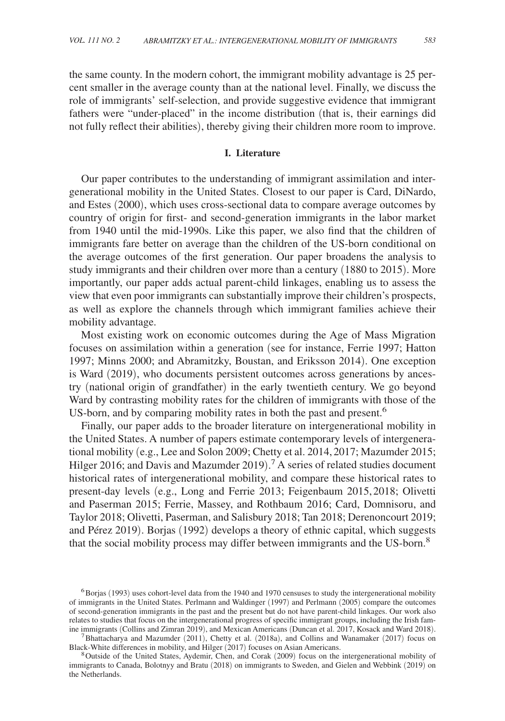the same county. In the modern cohort, the immigrant mobility advantage is 25 percent smaller in the average county than at the national level. Finally, we discuss the role of immigrants' self-selection, and provide suggestive evidence that immigrant fathers were "under-placed" in the income distribution (that is, their earnings did not fully reflect their abilities), thereby giving their children more room to improve.

### **I. Literature**

Our paper contributes to the understanding of immigrant assimilation and intergenerational mobility in the United States. Closest to our paper is Card, DiNardo, and Estes (2000), which uses cross-sectional data to compare average outcomes by country of origin for first- and second-generation immigrants in the labor market from 1940 until the mid-1990s. Like this paper, we also find that the children of immigrants fare better on average than the children of the US-born conditional on the average outcomes of the first generation. Our paper broadens the analysis to study immigrants and their children over more than a century (1880 to 2015). More importantly, our paper adds actual parent-child linkages, enabling us to assess the view that even poor immigrants can substantially improve their children's prospects, as well as explore the channels through which immigrant families achieve their mobility advantage.

Most existing work on economic outcomes during the Age of Mass Migration focuses on assimilation within a generation (see for instance, Ferrie 1997; Hatton 1997; Minns 2000; and Abramitzky, Boustan, and Eriksson 2014). One exception is Ward (2019), who documents persistent outcomes across generations by ancestry (national origin of grandfather) in the early twentieth century. We go beyond Ward by contrasting mobility rates for the children of immigrants with those of the US-born, and by comparing mobility rates in both the past and present.<sup>6</sup>

Finally, our paper adds to the broader literature on intergenerational mobility in the United States. A number of papers estimate contemporary levels of intergenerational mobility (e.g., Lee and Solon 2009; Chetty et al. 2014, 2017; Mazumder 2015; Hilger 2016; and Davis and Mazumder 2019).<sup>7</sup> A series of related studies document historical rates of intergenerational mobility, and compare these historical rates to present-day levels (e.g., Long and Ferrie 2013; Feigenbaum 2015, 2018; Olivetti and Paserman 2015; Ferrie, Massey, and Rothbaum 2016; Card, Domnisoru, and Taylor 2018; Olivetti, Paserman, and Salisbury 2018; Tan 2018; Derenoncourt 2019; and Pérez 2019). Borjas (1992) develops a theory of ethnic capital, which suggests that the social mobility process may differ between immigrants and the US-born.<sup>8</sup>

<sup>6</sup>Borjas (1993) uses cohort-level data from the 1940 and 1970 censuses to study the intergenerational mobility of immigrants in the United States. Perlmann and Waldinger (1997) and Perlmann (2005) compare the outcomes of second-generation immigrants in the past and the present but do not have parent-child linkages. Our work also relates to studies that focus on the intergenerational progress of specific immigrant groups, including the Irish famine immigrants (Collins and Zimran 2019), and Mexican Americans (Duncan et al. 2017, Kosack and Ward 2018).

 $7$ Bhattacharya and Mazumder (2011), Chetty et al. (2018a), and Collins and Wanamaker (2017) focus on Black-White differences in mobility, and Hilger (2017) focuses on Asian Americans.

<sup>8</sup>Outside of the United States, Aydemir, Chen, and Corak (2009) focus on the intergenerational mobility of immigrants to Canada, Bolotnyy and Bratu (2018) on immigrants to Sweden, and Gielen and Webbink (2019) on the Netherlands.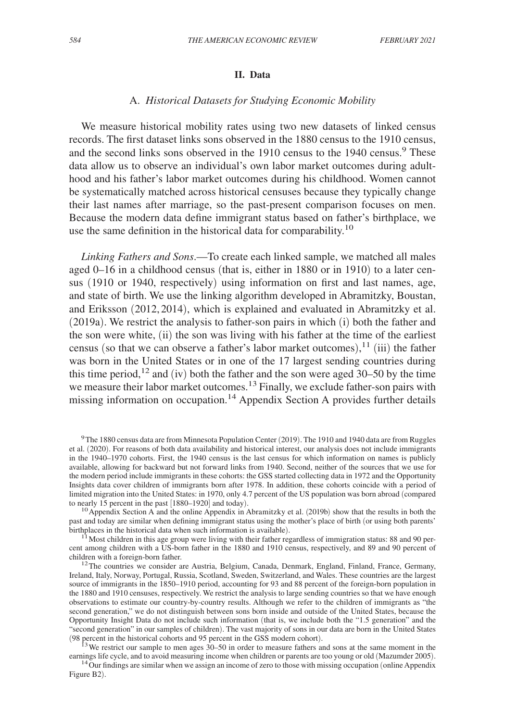#### **II. Data**

# A. *Historical Datasets for Studying Economic Mobility*

We measure historical mobility rates using two new datasets of linked census records. The first dataset links sons observed in the 1880 census to the 1910 census, and the second links sons observed in the 1910 census to the 1940 census.<sup>9</sup> These data allow us to observe an individual's own labor market outcomes during adulthood and his father's labor market outcomes during his childhood. Women cannot be systematically matched across historical censuses because they typically change their last names after marriage, so the past-present comparison focuses on men. Because the modern data define immigrant status based on father's birthplace, we use the same definition in the historical data for comparability.<sup>10</sup>

*Linking Fathers and Sons*.—To create each linked sample, we matched all males aged 0–16 in a childhood census (that is, either in 1880 or in 1910) to a later census (1910 or 1940, respectively) using information on first and last names, age, and state of birth. We use the linking algorithm developed in Abramitzky, Boustan, and Eriksson (2012, 2014), which is explained and evaluated in Abramitzky et al. (2019a). We restrict the analysis to father-son pairs in which (i) both the father and the son were white, (ii) the son was living with his father at the time of the earliest census (so that we can observe a father's labor market outcomes),  $\frac{11}{1}$  (iii) the father was born in the United States or in one of the 17 largest sending countries during this time period,<sup>12</sup> and (iv) both the father and the son were aged 30–50 by the time we measure their labor market outcomes.<sup>13</sup> Finally, we exclude father-son pairs with missing information on occupation.<sup>14</sup> Appendix Section A provides further details

<sup>9</sup>The 1880 census data are from Minnesota Population Center (2019). The 1910 and 1940 data are from Ruggles et al. (2020). For reasons of both data availability and historical interest, our analysis does not include immigrants in the 1940–1970 cohorts. First, the 1940 census is the last census for which information on names is publicly available, allowing for backward but not forward links from 1940. Second, neither of the sources that we use for the modern period include immigrants in these cohorts: the GSS started collecting data in 1972 and the Opportunity Insights data cover children of immigrants born after 1978. In addition, these cohorts coincide with a period of limited migration into the United States: in 1970, only 4.7 percent of the US population was born abroad (compared to nearly 15 percent in the past [1880–1920] and today).

<sup>&</sup>lt;sup>10</sup> Appendix Section A and the online Appendix in Abramitzky et al. (2019b) show that the results in both the past and today are similar when defining immigrant status using the mother's place of birth (or using both parents' birthplaces in the historical data when such information is available).

 $1<sup>1</sup>$ Most children in this age group were living with their father regardless of immigration status: 88 and 90 percent among children with a US-born father in the 1880 and 1910 census, respectively, and 89 and 90 percent of children with a foreign-born father.

<sup>&</sup>lt;sup>12</sup>The countries we consider are Austria, Belgium, Canada, Denmark, England, Finland, France, Germany, Ireland, Italy, Norway, Portugal, Russia, Scotland, Sweden, Switzerland, and Wales. These countries are the largest source of immigrants in the 1850–1910 period, accounting for 93 and 88 percent of the foreign-born population in the 1880 and 1910 censuses, respectively. We restrict the analysis to large sending countries so that we have enough observations to estimate our country-by-country results. Although we refer to the children of immigrants as "the second generation," we do not distinguish between sons born inside and outside of the United States, because the Opportunity Insight Data do not include such information (that is, we include both the "1.5 generation" and the "second generation" in our samples of children). The vast majority of sons in our data are born in the United States (98 percent in the historical cohorts and 95 percent in the GSS modern cohort).

 $13$  We restrict our sample to men ages  $30-50$  in order to measure fathers and sons at the same moment in the earnings life cycle, and to avoid measuring income when children or parents are too young or old (Mazumder 2005).

<sup>&</sup>lt;sup>14</sup>Our findings are similar when we assign an income of zero to those with missing occupation (online Appendix Figure B2).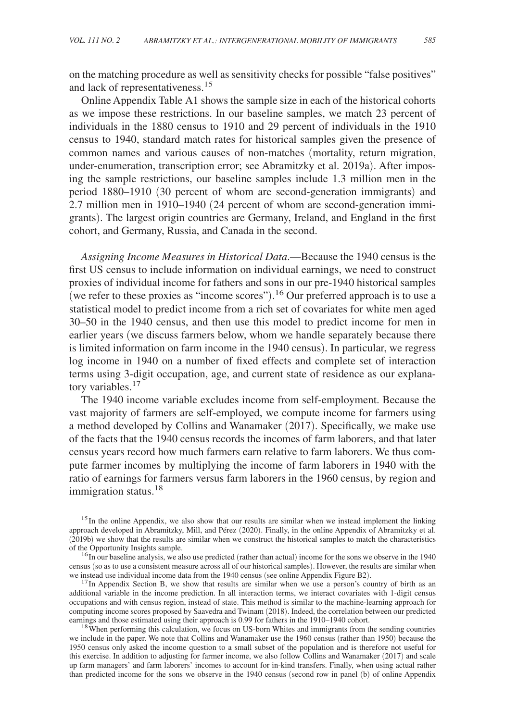on the matching procedure as well as sensitivity checks for possible "false positives" and lack of representativeness.<sup>15</sup>

Online Appendix Table A1 shows the sample size in each of the historical cohorts as we impose these restrictions. In our baseline samples, we match 23 percent of individuals in the 1880 census to 1910 and 29 percent of individuals in the 1910 census to 1940, standard match rates for historical samples given the presence of common names and various causes of non-matches (mortality, return migration, under-enumeration, transcription error; see Abramitzky et al. 2019a). After imposing the sample restrictions, our baseline samples include 1.3 million men in the period 1880–1910 (30 percent of whom are second-generation immigrants) and 2.7 million men in 1910–1940 (24 percent of whom are second-generation immigrants). The largest origin countries are Germany, Ireland, and England in the first cohort, and Germany, Russia, and Canada in the second.

*Assigning Income Measures in Historical Data*.—Because the 1940 census is the first US census to include information on individual earnings, we need to construct proxies of individual income for fathers and sons in our pre-1940 historical samples (we refer to these proxies as "income scores"). <sup>16</sup> Our preferred approach is to use a statistical model to predict income from a rich set of covariates for white men aged 30–50 in the 1940 census, and then use this model to predict income for men in earlier years (we discuss farmers below, whom we handle separately because there is limited information on farm income in the 1940 census). In particular, we regress log income in 1940 on a number of fixed effects and complete set of interaction terms using 3-digit occupation, age, and current state of residence as our explanatory variables.<sup>17</sup>

The 1940 income variable excludes income from self-employment. Because the vast majority of farmers are self-employed, we compute income for farmers using a method developed by Collins and Wanamaker (2017). Specifically, we make use of the facts that the 1940 census records the incomes of farm laborers, and that later census years record how much farmers earn relative to farm laborers. We thus compute farmer incomes by multiplying the income of farm laborers in 1940 with the ratio of earnings for farmers versus farm laborers in the 1960 census, by region and immigration status.<sup>18</sup>

<sup>15</sup>In the online Appendix, we also show that our results are similar when we instead implement the linking approach developed in Abramitzky, Mill, and Pérez (2020). Finally, in the online Appendix of Abramitzky et al. (2019b) we show that the results are similar when we construct the historical samples to match the characteristics of the Opportunity Insights sample.

 $17$ In Appendix Section B, we show that results are similar when we use a person's country of birth as an additional variable in the income prediction. In all interaction terms, we interact covariates with 1-digit census occupations and with census region, instead of state. This method is similar to the machine-learning approach for computing income scores proposed by Saavedra and Twinam (2018). Indeed, the correlation between our predicted earnings and those estimated using their approach is 0.99 for fathers in the 1910–1940 cohort.

<sup>18</sup>When performing this calculation, we focus on US-born Whites and immigrants from the sending countries we include in the paper. We note that Collins and Wanamaker use the 1960 census (rather than 1950) because the 1950 census only asked the income question to a small subset of the population and is therefore not useful for this exercise. In addition to adjusting for farmer income, we also follow Collins and Wanamaker (2017) and scale up farm managers' and farm laborers' incomes to account for in-kind transfers. Finally, when using actual rather than predicted income for the sons we observe in the 1940 census (second row in panel (b) of online Appendix

 $16$ In our baseline analysis, we also use predicted (rather than actual) income for the sons we observe in the 1940 census (so as to use a consistent measure across all of our historical samples). However, the results are similar when we instead use individual income data from the 1940 census (see online Appendix Figure B2).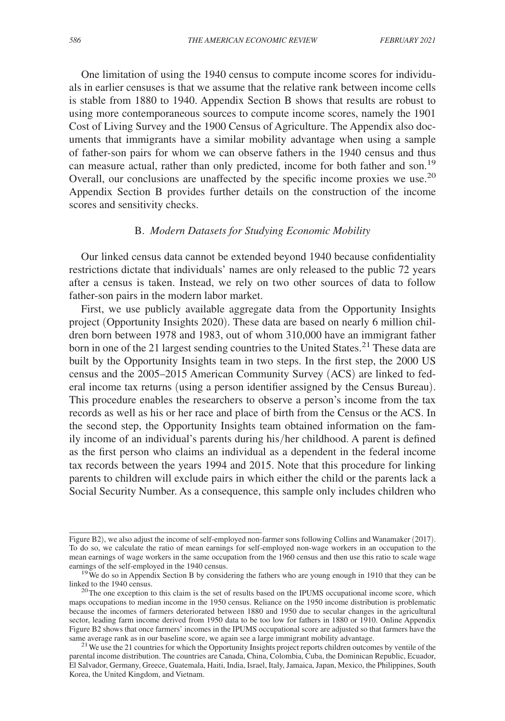One limitation of using the 1940 census to compute income scores for individuals in earlier censuses is that we assume that the relative rank between income cells is stable from 1880 to 1940. Appendix Section B shows that results are robust to using more contemporaneous sources to compute income scores, namely the 1901 Cost of Living Survey and the 1900 Census of Agriculture. The Appendix also documents that immigrants have a similar mobility advantage when using a sample of father-son pairs for whom we can observe fathers in the 1940 census and thus can measure actual, rather than only predicted, income for both father and son.<sup>19</sup> Overall, our conclusions are unaffected by the specific income proxies we use.<sup>20</sup> Appendix Section B provides further details on the construction of the income scores and sensitivity checks.

# B. *Modern Datasets for Studying Economic Mobility*

Our linked census data cannot be extended beyond 1940 because confidentiality restrictions dictate that individuals' names are only released to the public 72 years after a census is taken. Instead, we rely on two other sources of data to follow father-son pairs in the modern labor market.

First, we use publicly available aggregate data from the Opportunity Insights project (Opportunity Insights 2020). These data are based on nearly 6 million children born between 1978 and 1983, out of whom 310,000 have an immigrant father born in one of the 21 largest sending countries to the United States.<sup>21</sup> These data are built by the Opportunity Insights team in two steps. In the first step, the 2000 US census and the 2005–2015 American Community Survey (ACS) are linked to federal income tax returns (using a person identifier assigned by the Census Bureau). This procedure enables the researchers to observe a person's income from the tax records as well as his or her race and place of birth from the Census or the ACS. In the second step, the Opportunity Insights team obtained information on the family income of an individual's parents during his/her childhood. A parent is defined as the first person who claims an individual as a dependent in the federal income tax records between the years 1994 and 2015. Note that this procedure for linking parents to children will exclude pairs in which either the child or the parents lack a Social Security Number. As a consequence, this sample only includes children who

Figure B2), we also adjust the income of self-employed non-farmer sons following Collins and Wanamaker (2017). To do so, we calculate the ratio of mean earnings for self-employed non-wage workers in an occupation to the mean earnings of wage workers in the same occupation from the 1960 census and then use this ratio to scale wage earnings of the self-employed in the 1940 census.

<sup>&</sup>lt;sup>19</sup>We do so in Appendix Section B by considering the fathers who are young enough in 1910 that they can be linked to the 1940 census.

<sup>&</sup>lt;sup>20</sup>The one exception to this claim is the set of results based on the IPUMS occupational income score, which maps occupations to median income in the 1950 census. Reliance on the 1950 income distribution is problematic because the incomes of farmers deteriorated between 1880 and 1950 due to secular changes in the agricultural sector, leading farm income derived from 1950 data to be too low for fathers in 1880 or 1910. Online Appendix Figure B2 shows that once farmers' incomes in the IPUMS occupational score are adjusted so that farmers have the same average rank as in our baseline score, we again see a large immigrant mobility advantage.

<sup>&</sup>lt;sup>21</sup> We use the 21 countries for which the Opportunity Insights project reports children outcomes by ventile of the parental income distribution. The countries are Canada, China, Colombia, Cuba, the Dominican Republic, Ecuador, El Salvador, Germany, Greece, Guatemala, Haiti, India, Israel, Italy, Jamaica, Japan, Mexico, the Philippines, South Korea, the United Kingdom, and Vietnam.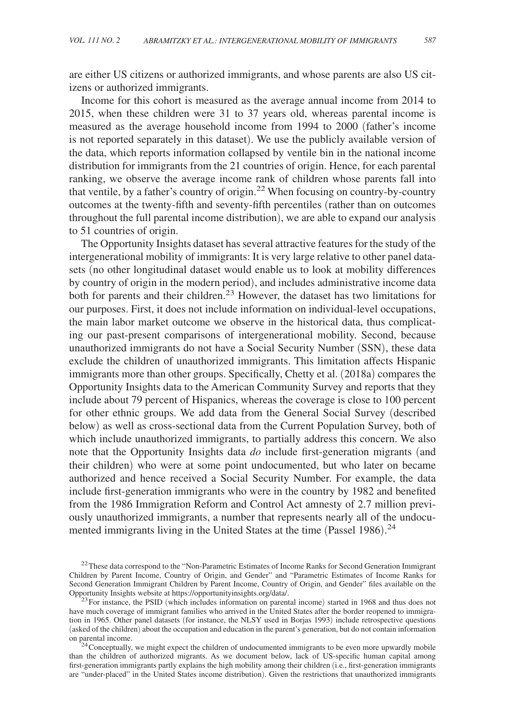are either US citizens or authorized immigrants, and whose parents are also US citizens or authorized immigrants.

Income for this cohort is measured as the average annual income from 2014 to 2015, when these children were 31 to 37 years old, whereas parental income is measured as the average household income from 1994 to 2000 (father's income is not reported separately in this dataset). We use the publicly available version of the data, which reports information collapsed by ventile bin in the national income distribution for immigrants from the 21 countries of origin. Hence, for each parental ranking, we observe the average income rank of children whose parents fall into that ventile, by a father's country of origin.22 When focusing on country-by-country outcomes at the twenty-fifth and seventy-fifth percentiles (rather than on outcomes throughout the full parental income distribution), we are able to expand our analysis to 51 countries of origin.

The Opportunity Insights dataset has several attractive features for the study of the intergenerational mobility of immigrants: It is very large relative to other panel datasets (no other longitudinal dataset would enable us to look at mobility differences by country of origin in the modern period), and includes administrative income data both for parents and their children.<sup>23</sup> However, the dataset has two limitations for our purposes. First, it does not include information on individual-level occupations, the main labor market outcome we observe in the historical data, thus complicating our past-present comparisons of intergenerational mobility. Second, because unauthorized immigrants do not have a Social Security Number (SSN), these data exclude the children of unauthorized immigrants. This limitation affects Hispanic immigrants more than other groups. Specifically, Chetty et al. (2018a) compares the Opportunity Insights data to the American Community Survey and reports that they include about 79 percent of Hispanics, whereas the coverage is close to 100 percent for other ethnic groups. We add data from the General Social Survey (described below) as well as cross-sectional data from the Current Population Survey, both of which include unauthorized immigrants, to partially address this concern. We also note that the Opportunity Insights data *do* include first-generation migrants (and their children) who were at some point undocumented, but who later on became authorized and hence received a Social Security Number. For example, the data include first-generation immigrants who were in the country by 1982 and benefited from the 1986 Immigration Reform and Control Act amnesty of 2.7 million previously unauthorized immigrants, a number that represents nearly all of the undocumented immigrants living in the United States at the time (Passel 1986).<sup>24</sup>

<sup>&</sup>lt;sup>22</sup> These data correspond to the "Non-Parametric Estimates of Income Ranks for Second Generation Immigrant Children by Parent Income, Country of Origin, and Gender" and "Parametric Estimates of Income Ranks for Second Generation Immigrant Children by Parent Income, Country of Origin, and Gender" files available on the Opportunity Insights website at https://opportunityinsights.org/data/.

 $^{23}$  For instance, the PSID (which includes information on parental income) started in 1968 and thus does not have much coverage of immigrant families who arrived in the United States after the border reopened to immigration in 1965. Other panel datasets (for instance, the NLSY used in Borjas 1993) include retrospective questions (asked of the children) about the occupation and education in the parent's generation, but do not contain information on parental income.

<sup>&</sup>lt;sup>24</sup> Conceptually, we might expect the children of undocumented immigrants to be even more upwardly mobile than the children of authorized migrants. As we document below, lack of US-specific human capital among first-generation immigrants partly explains the high mobility among their children (i.e., first-generation immigrants are "under-placed" in the United States income distribution). Given the restrictions that unauthorized immigrants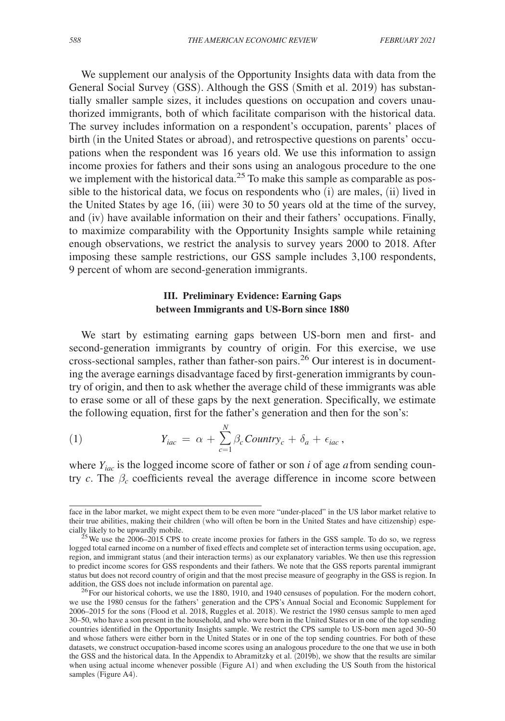We supplement our analysis of the Opportunity Insights data with data from the General Social Survey (GSS). Although the GSS (Smith et al. 2019) has substantially smaller sample sizes, it includes questions on occupation and covers unauthorized immigrants, both of which facilitate comparison with the historical data. The survey includes information on a respondent's occupation, parents' places of birth (in the United States or abroad), and retrospective questions on parents' occupations when the respondent was 16 years old. We use this information to assign income proxies for fathers and their sons using an analogous procedure to the one we implement with the historical data.<sup>25</sup> To make this sample as comparable as possible to the historical data, we focus on respondents who (i) are males, (ii) lived in the United States by age 16, (iii) were 30 to 50 years old at the time of the survey, and (iv) have available information on their and their fathers' occupations. Finally, to maximize comparability with the Opportunity Insights sample while retaining enough observations, we restrict the analysis to survey years 2000 to 2018. After imposing these sample restrictions, our GSS sample includes 3,100 respondents, 9 percent of whom are second-generation immigrants.

# **III. Preliminary Evidence: Earning Gaps between Immigrants and US-Born since 1880**

We start by estimating earning gaps between US-born men and first- and second-generation immigrants by country of origin. For this exercise, we use cross-sectional samples, rather than father-son pairs.26 Our interest is in documenting the average earnings disadvantage faced by first-generation immigrants by country of origin, and then to ask whether the average child of these immigrants was able to erase some or all of these gaps by the next generation. Specifically, we estimate the following equation, first for the father's generation and then for the son's:

(1) 
$$
Y_{iac} = \alpha + \sum_{c=1}^{N} \beta_c \text{Country}_c + \delta_a + \epsilon_{iac},
$$

where *Yiac* is the logged income score of father or son *i* of age *a* from sending country *c*. The  $\beta_c$  coefficients reveal the average difference in income score between

face in the labor market, we might expect them to be even more "under-placed" in the US labor market relative to their true abilities, making their children (who will often be born in the United States and have citizenship) especially likely to be upwardly mobile.

<sup>&</sup>lt;sup>25</sup>We use the 2006–2015 CPS to create income proxies for fathers in the GSS sample. To do so, we regress logged total earned income on a number of fixed effects and complete set of interaction terms using occupation, age, region, and immigrant status (and their interaction terms) as our explanatory variables. We then use this regression to predict income scores for GSS respondents and their fathers. We note that the GSS reports parental immigrant status but does not record country of origin and that the most precise measure of geography in the GSS is region. In addition, the GSS does not include information on parental age.

<sup>&</sup>lt;sup>26</sup>For our historical cohorts, we use the 1880, 1910, and 1940 censuses of population. For the modern cohort, we use the 1980 census for the fathers' generation and the CPS's Annual Social and Economic Supplement for 2006–2015 for the sons (Flood et al. 2018, Ruggles et al. 2018). We restrict the 1980 census sample to men aged 30–50, who have a son present in the household, and who were born in the United States or in one of the top sending countries identified in the Opportunity Insights sample. We restrict the CPS sample to US-born men aged 30–50 and whose fathers were either born in the United States or in one of the top sending countries. For both of these datasets, we construct occupation-based income scores using an analogous procedure to the one that we use in both the GSS and the historical data. In the Appendix to Abramitzky et al. (2019b), we show that the results are similar when using actual income whenever possible (Figure A1) and when excluding the US South from the historical samples (Figure A4).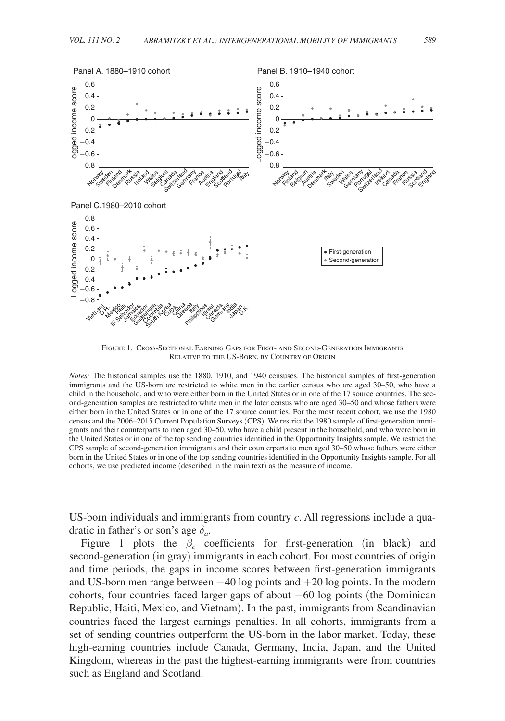

Figure 1. Cross-Sectional Earning Gaps for First- and Second-Generation Immigrants Relative to the US-Born, by Country of Origin

*Notes:* The historical samples use the 1880, 1910, and 1940 censuses. The historical samples of first-generation immigrants and the US-born are restricted to white men in the earlier census who are aged 30–50, who have a child in the household, and who were either born in the United States or in one of the 17 source countries. The second-generation samples are restricted to white men in the later census who are aged 30–50 and whose fathers were either born in the United States or in one of the 17 source countries. For the most recent cohort, we use the 1980 census and the 2006–2015 Current Population Surveys (CPS). We restrict the 1980 sample of first-generation immigrants and their counterparts to men aged 30–50, who have a child present in the household, and who were born in the United States or in one of the top sending countries identified in the Opportunity Insights sample. We restrict the CPS sample of second-generation immigrants and their counterparts to men aged 30–50 whose fathers were either born in the United States or in one of the top sending countries identified in the Opportunity Insights sample. For all cohorts, we use predicted income (described in the main text) as the measure of income.

 US-born individuals and immigrants from country *c* . All regressions include a quadratic in father's or son's age  $\delta_a$ .

Figure 1 plots the  $\beta_c$  coefficients for first-generation (in black) and second-generation (in gray) immigrants in each cohort. For most countries of origin and time periods, the gaps in income scores between first-generation immigrants and US-born men range between −40 log points and +20 log points. In the modern cohorts, four countries faced larger gaps of about −60 log points (the Dominican Republic, Haiti, Mexico, and Vietnam). In the past, immigrants from Scandinavian countries faced the largest earnings penalties. In all cohorts, immigrants from a set of sending countries outperform the US-born in the labor market. Today, these high-earning countries include Canada, Germany, India, Japan, and the United Kingdom, whereas in the past the highest-earning immigrants were from countries such as England and Scotland.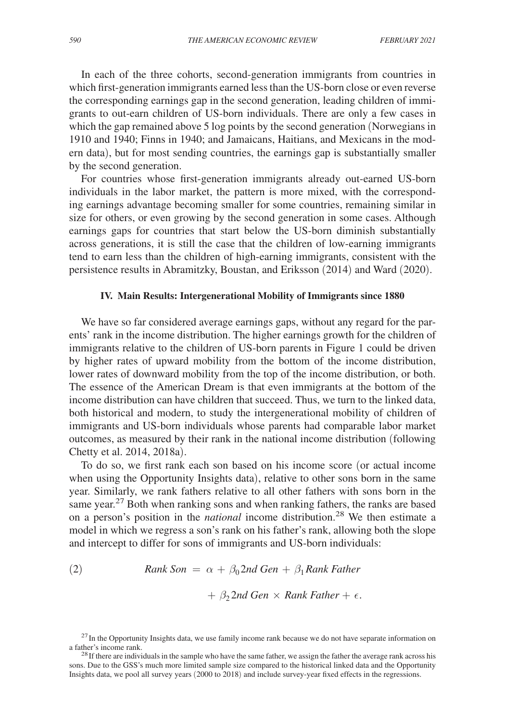In each of the three cohorts, second-generation immigrants from countries in which first-generation immigrants earned less than the US-born close or even reverse the corresponding earnings gap in the second generation, leading children of immigrants to out-earn children of US-born individuals. There are only a few cases in which the gap remained above 5 log points by the second generation (Norwegians in 1910 and 1940; Finns in 1940; and Jamaicans, Haitians, and Mexicans in the modern data), but for most sending countries, the earnings gap is substantially smaller by the second generation.

For countries whose first-generation immigrants already out-earned US-born individuals in the labor market, the pattern is more mixed, with the corresponding earnings advantage becoming smaller for some countries, remaining similar in size for others, or even growing by the second generation in some cases. Although earnings gaps for countries that start below the US-born diminish substantially across generations, it is still the case that the children of low-earning immigrants tend to earn less than the children of high-earning immigrants, consistent with the persistence results in Abramitzky, Boustan, and Eriksson (2014) and Ward (2020).

#### **IV. Main Results: Intergenerational Mobility of Immigrants since 1880**

We have so far considered average earnings gaps, without any regard for the parents' rank in the income distribution. The higher earnings growth for the children of immigrants relative to the children of US-born parents in Figure 1 could be driven by higher rates of upward mobility from the bottom of the income distribution, lower rates of downward mobility from the top of the income distribution, or both. The essence of the American Dream is that even immigrants at the bottom of the income distribution can have children that succeed. Thus, we turn to the linked data, both historical and modern, to study the intergenerational mobility of children of immigrants and US-born individuals whose parents had comparable labor market outcomes, as measured by their rank in the national income distribution (following Chetty et al. 2014, 2018a).

To do so, we first rank each son based on his income score (or actual income when using the Opportunity Insights data), relative to other sons born in the same year. Similarly, we rank fathers relative to all other fathers with sons born in the same year.<sup>27</sup> Both when ranking sons and when ranking fathers, the ranks are based on a person's position in the *national* income distribution.28 We then estimate a model in which we regress a son's rank on his father's rank, allowing both the slope and intercept to differ for sons of immigrants and US-born individuals:

(2) *Rank Son* = 
$$
\alpha + \beta_0 2nd Gen + \beta_1 Rank Father
$$
  
+  $\beta_2 2nd Gen \times Rank Father + \epsilon$ .

<sup>&</sup>lt;sup>27</sup>In the Opportunity Insights data, we use family income rank because we do not have separate information on a father's income rank.

 $^{28}$  If there are individuals in the sample who have the same father, we assign the father the average rank across his sons. Due to the GSS's much more limited sample size compared to the historical linked data and the Opportunity Insights data, we pool all survey years (2000 to 2018) and include survey-year fixed effects in the regressions.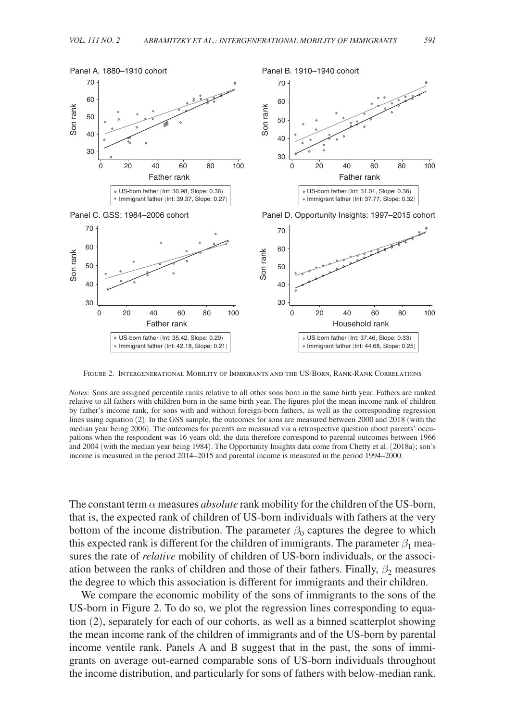

Figure 2. Intergenerational Mobility of Immigrants and the US-Born, Rank-Rank Correlations

*Notes:* Sons are assigned percentile ranks relative to all other sons born in the same birth year. Fathers are ranked relative to all fathers with children born in the same birth year. The figures plot the mean income rank of children by father's income rank, for sons with and without foreign-born fathers, as well as the corresponding regression lines using equation (2). In the GSS sample, the outcomes for sons are measured between 2000 and 2018 (with the median year being 2006). The outcomes for parents are measured via a retrospective question about parents' occupations when the respondent was 16 years old; the data therefore correspond to parental outcomes between 1966 and 2004 (with the median year being 1984). The Opportunity Insights data come from Chetty et al. (2018a); son's income is measured in the period 2014–2015 and parental income is measured in the period 1994–2000.

The constant term  $\alpha$  measures *absolute* rank mobility for the children of the US-born, that is, the expected rank of children of US-born individuals with fathers at the very bottom of the income distribution. The parameter  $\beta_0$  captures the degree to which this expected rank is different for the children of immigrants. The parameter  $\beta_1$  measures the rate of *relative* mobility of children of US-born individuals, or the association between the ranks of children and those of their fathers. Finally,  $\beta_2$  measures the degree to which this association is different for immigrants and their children.

We compare the economic mobility of the sons of immigrants to the sons of the US-born in Figure 2. To do so, we plot the regression lines corresponding to equation (2), separately for each of our cohorts, as well as a binned scatterplot showing the mean income rank of the children of immigrants and of the US-born by parental income ventile rank. Panels A and B suggest that in the past, the sons of immigrants on average out-earned comparable sons of US-born individuals throughout the income distribution, and particularly for sons of fathers with below-median rank.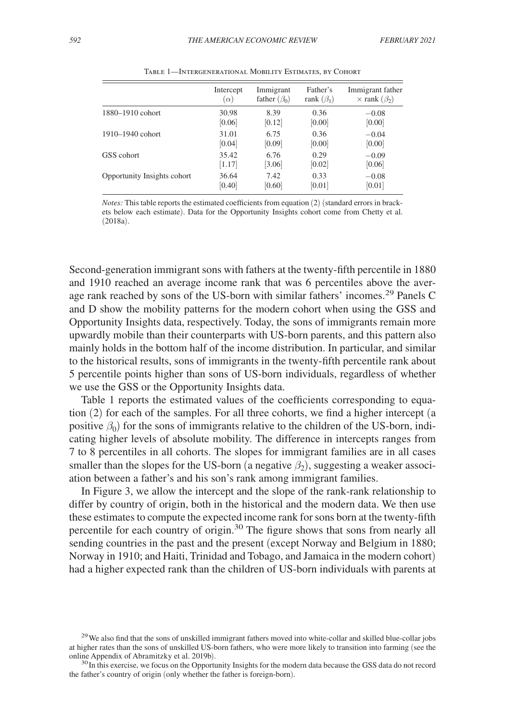|                             | Intercept  | Immigrant          | Father's         | Immigrant father          |
|-----------------------------|------------|--------------------|------------------|---------------------------|
|                             | $(\alpha)$ | father $(\beta_0)$ | rank $(\beta_1)$ | $\times$ rank $(\beta_2)$ |
| 1880–1910 cohort            | 30.98      | 8.39               | 0.36             | $-0.08$                   |
|                             | [0.06]     | [0.12]             | [0.00]           | [0.00]                    |
| 1910–1940 cohort            | 31.01      | 6.75               | 0.36             | $-0.04$                   |
|                             | [0.04]     | [0.09]             | [0.00]           | [0.00]                    |
| GSS cohort                  | 35.42      | 6.76               | 0.29             | $-0.09$                   |
|                             | [1.17]     | [3.06]             | [0.02]           | [0.06]                    |
| Opportunity Insights cohort | 36.64      | 7.42               | 0.33             | $-0.08$                   |
|                             | [0.40]     | [0.60]             | [0.01]           | [0.01]                    |

Table 1—Intergenerational Mobility Estimates, by Cohort

*Notes:* This table reports the estimated coefficients from equation (2) (standard errors in brackets below each estimate). Data for the Opportunity Insights cohort come from Chetty et al. (2018a).

 Second-generation immigrant sons with fathers at the twenty-fifth percentile in 1880 and 1910 reached an average income rank that was 6 percentiles above the average rank reached by sons of the US-born with similar fathers' incomes.29 Panels C and D show the mobility patterns for the modern cohort when using the GSS and Opportunity Insights data, respectively. Today, the sons of immigrants remain more upwardly mobile than their counterparts with US-born parents, and this pattern also mainly holds in the bottom half of the income distribution. In particular, and similar to the historical results, sons of immigrants in the twenty-fifth percentile rank about 5 percentile points higher than sons of US-born individuals, regardless of whether we use the GSS or the Opportunity Insights data.

Table 1 reports the estimated values of the coefficients corresponding to equation (2) for each of the samples. For all three cohorts, we find a higher intercept (a positive  $\beta_0$ ) for the sons of immigrants relative to the children of the US-born, indicating higher levels of absolute mobility. The difference in intercepts ranges from 7 to 8 percentiles in all cohorts. The slopes for immigrant families are in all cases smaller than the slopes for the US-born (a negative  $\beta_2$ ), suggesting a weaker association between a father's and his son's rank among immigrant families.

In Figure 3, we allow the intercept and the slope of the rank-rank relationship to differ by country of origin, both in the historical and the modern data. We then use these estimates to compute the expected income rank for sons born at the twenty-fifth percentile for each country of origin.30 The figure shows that sons from nearly all sending countries in the past and the present (except Norway and Belgium in 1880; Norway in 1910; and Haiti, Trinidad and Tobago, and Jamaica in the modern cohort) had a higher expected rank than the children of US-born individuals with parents at

<sup>&</sup>lt;sup>29</sup>We also find that the sons of unskilled immigrant fathers moved into white-collar and skilled blue-collar jobs at higher rates than the sons of unskilled US-born fathers, who were more likely to transition into farming (see the online Appendix of Abramitzky et al. 2019b).

<sup>&</sup>lt;sup>30</sup>In this exercise, we focus on the Opportunity Insights for the modern data because the GSS data do not record the father's country of origin (only whether the father is foreign-born).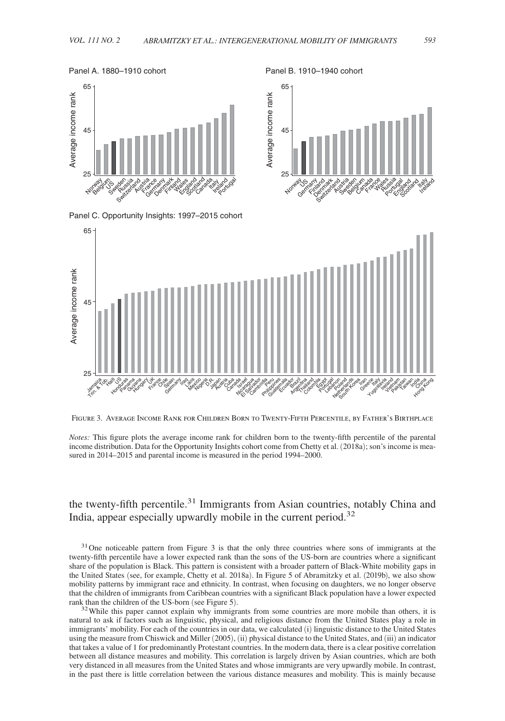Panel B. 1910–1940 cohort

#### Panel A. 1880–1910 cohort





Panel C. Opportunity Insights: 1997–2015 cohort



Figure 3. Average Income Rank for Children Born to Twenty-Fifth Percentile, by Father's Birthplace

*Notes:* This figure plots the average income rank for children born to the twenty-fifth percentile of the parental income distribution. Data for the Opportunity Insights cohort come from Chetty et al. (2018a); son's income is measured in 2014–2015 and parental income is measured in the period 1994–2000.

# the twenty-fifth percentile.<sup>31</sup> Immigrants from Asian countries, notably China and India, appear especially upwardly mobile in the current period.<sup>32</sup>

<sup>31</sup> One noticeable pattern from Figure 3 is that the only three countries where sons of immigrants at the twenty-fifth percentile have a lower expected rank than the sons of the US-born are countries where a significant share of the population is Black. This pattern is consistent with a broader pattern of Black-White mobility gaps in the United States (see, for example, Chetty et al. 2018a). In Figure 5 of Abramitzky et al. (2019b), we also show mobility patterns by immigrant race and ethnicity. In contrast, when focusing on daughters, we no longer observe that the children of immigrants from Caribbean countries with a significant Black population have a lower expected rank than the children of the US-born (see Figure 5).

 $32$ While this paper cannot explain why immigrants from some countries are more mobile than others, it is natural to ask if factors such as linguistic, physical, and religious distance from the United States play a role in immigrants' mobility. For each of the countries in our data, we calculated (i) linguistic distance to the United States using the measure from Chiswick and Miller (2005), (ii) physical distance to the United States, and (iii) an indicator that takes a value of 1 for predominantly Protestant countries. In the modern data, there is a clear positive correlation between all distance measures and mobility. This correlation is largely driven by Asian countries, which are both very distanced in all measures from the United States and whose immigrants are very upwardly mobile. In contrast, in the past there is little correlation between the various distance measures and mobility. This is mainly because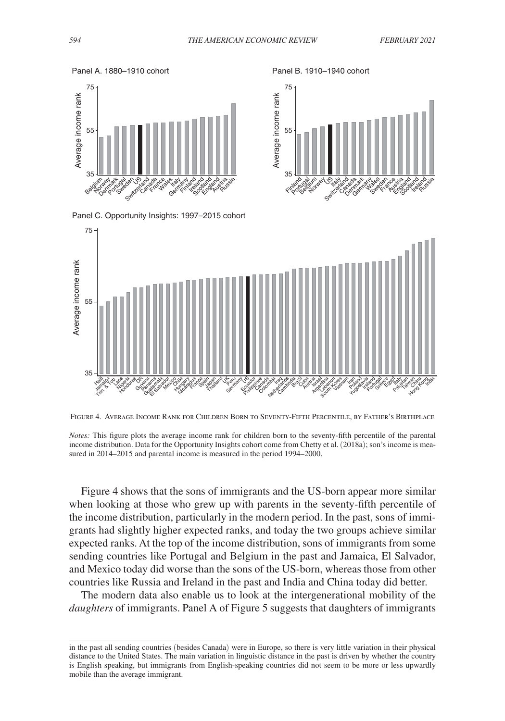35

Finland Portugal Belum Norway S. **Italy** Switzerland<br>Switzerland Lacada<br>Canada O<sub>o</sub>de<sub>ath</sub> Cematic **Hales** Sweden ence **Russia** exise de a rocker ard and Aussia

55

Average income rank

Average income rank

75



Panel C. Opportunity Insights: 1997–2015 cohort



Figure 4. Average Income Rank for Children Born to Seventy-Fifth Percentile, by Father's Birthplace



Figure 4 shows that the sons of immigrants and the US-born appear more similar when looking at those who grew up with parents in the seventy-fifth percentile of the income distribution, particularly in the modern period. In the past, sons of immigrants had slightly higher expected ranks, and today the two groups achieve similar expected ranks. At the top of the income distribution, sons of immigrants from some sending countries like Portugal and Belgium in the past and Jamaica, El Salvador, and Mexico today did worse than the sons of the US-born, whereas those from other countries like Russia and Ireland in the past and India and China today did better.

The modern data also enable us to look at the intergenerational mobility of the *daughters* of immigrants. Panel A of Figure 5 suggests that daughters of immigrants

Panel A. 1880–1910 cohort Panel B. 1910–1940 cohort

in the past all sending countries (besides Canada) were in Europe, so there is very little variation in their physical distance to the United States. The main variation in linguistic distance in the past is driven by whether the country is English speaking, but immigrants from English-speaking countries did not seem to be more or less upwardly mobile than the average immigrant.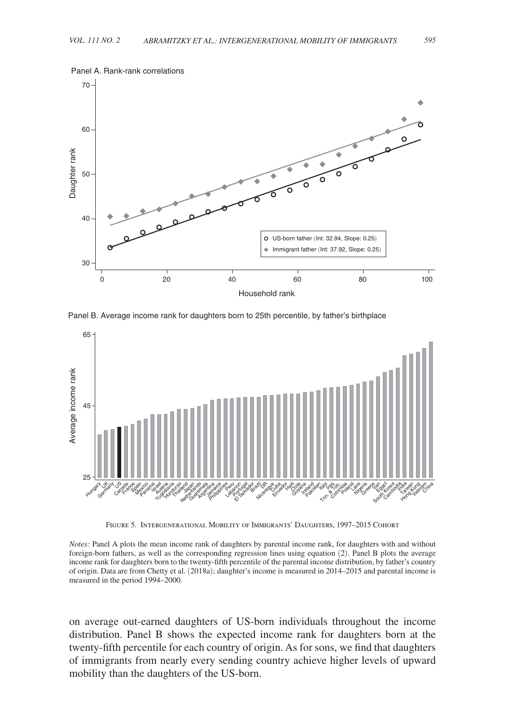

Panel B. Average income rank for daughters born to 25th percentile, by father's birthplace



Figure 5. Intergenerational Mobility of Immigrants' Daughters, 1997–2015 Cohort

*Notes:* Panel A plots the mean income rank of daughters by parental income rank, for daughters with and without foreign-born fathers, as well as the corresponding regression lines using equation (2). Panel B plots the average income rank for daughters born to the twenty-fifth percentile of the parental income distribution, by father's country of origin. Data are from Chetty et al. (2018a); daughter's income is measured in 2014–2015 and parental income is measured in the period 1994–2000.

on average out-earned daughters of US-born individuals throughout the income distribution. Panel B shows the expected income rank for daughters born at the twenty-fifth percentile for each country of origin. As for sons, we find that daughters of immigrants from nearly every sending country achieve higher levels of upward mobility than the daughters of the US-born.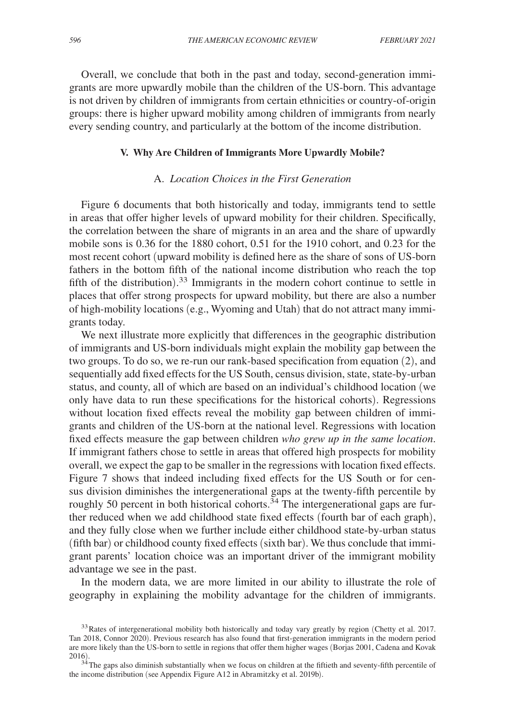Overall, we conclude that both in the past and today, second-generation immigrants are more upwardly mobile than the children of the US-born. This advantage is not driven by children of immigrants from certain ethnicities or country-of-origin groups: there is higher upward mobility among children of immigrants from nearly every sending country, and particularly at the bottom of the income distribution.

#### **V. Why Are Children of Immigrants More Upwardly Mobile?**

## A. *Location Choices in the First Generation*

Figure 6 documents that both historically and today, immigrants tend to settle in areas that offer higher levels of upward mobility for their children. Specifically, the correlation between the share of migrants in an area and the share of upwardly mobile sons is 0.36 for the 1880 cohort, 0.51 for the 1910 cohort, and 0.23 for the most recent cohort (upward mobility is defined here as the share of sons of US-born fathers in the bottom fifth of the national income distribution who reach the top fifth of the distribution).<sup>33</sup> Immigrants in the modern cohort continue to settle in places that offer strong prospects for upward mobility, but there are also a number of high-mobility locations (e.g., Wyoming and Utah) that do not attract many immigrants today.

We next illustrate more explicitly that differences in the geographic distribution of immigrants and US-born individuals might explain the mobility gap between the two groups. To do so, we re-run our rank-based specification from equation (2), and sequentially add fixed effects for the US South, census division, state, state-by-urban status, and county, all of which are based on an individual's childhood location (we only have data to run these specifications for the historical cohorts). Regressions without location fixed effects reveal the mobility gap between children of immigrants and children of the US-born at the national level. Regressions with location fixed effects measure the gap between children *who grew up in the same location*. If immigrant fathers chose to settle in areas that offered high prospects for mobility overall, we expect the gap to be smaller in the regressions with location fixed effects. Figure 7 shows that indeed including fixed effects for the US South or for census division diminishes the intergenerational gaps at the twenty-fifth percentile by roughly 50 percent in both historical cohorts.<sup>34</sup> The intergenerational gaps are further reduced when we add childhood state fixed effects (fourth bar of each graph), and they fully close when we further include either childhood state-by-urban status (fifth bar) or childhood county fixed effects (sixth bar). We thus conclude that immigrant parents' location choice was an important driver of the immigrant mobility advantage we see in the past.

In the modern data, we are more limited in our ability to illustrate the role of geography in explaining the mobility advantage for the children of immigrants.

<sup>&</sup>lt;sup>33</sup>Rates of intergenerational mobility both historically and today vary greatly by region (Chetty et al. 2017. Tan 2018, Connor 2020). Previous research has also found that first-generation immigrants in the modern period are more likely than the US-born to settle in regions that offer them higher wages (Borjas 2001, Cadena and Kovak 2016).

 $34$ The gaps also diminish substantially when we focus on children at the fiftieth and seventy-fifth percentile of the income distribution (see Appendix Figure A12 in Abramitzky et al. 2019b).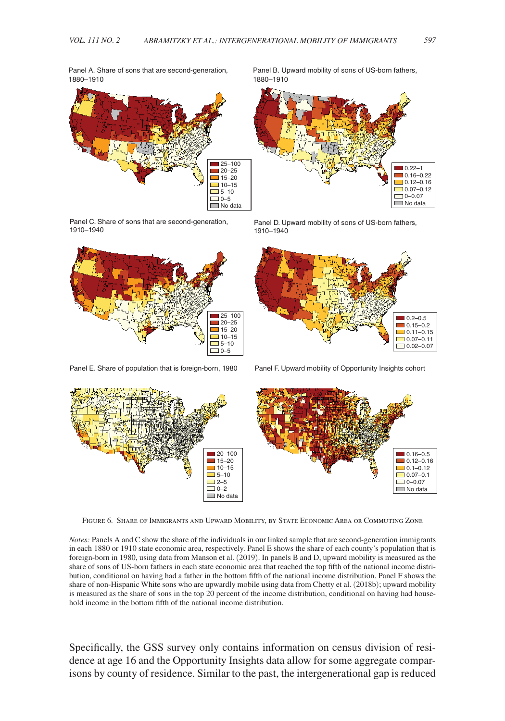Panel A. Share of sons that are second-generation, 1880–1910



Panel B. Upward mobility of sons of US-born fathers, 1880–1910



Panel C. Share of sons that are second-generation, 1910–1940



Panel D. Upward mobility of sons of US-born fathers, 1910–1940



Panel E. Share of population that is foreign-born, 1980 Panel F. Upward mobility of Opportunity Insights cohort



Figure 6. Share of Immigrants and Upward Mobility, by State Economic Area or Commuting Zone

*Notes:* Panels A and C show the share of the individuals in our linked sample that are second-generation immigrants in each 1880 or 1910 state economic area, respectively. Panel E shows the share of each county's population that is foreign-born in 1980, using data from Manson et al. (2019). In panels B and D, upward mobility is measured as the share of sons of US-born fathers in each state economic area that reached the top fifth of the national income distribution, conditional on having had a father in the bottom fifth of the national income distribution. Panel F shows the share of non-Hispanic White sons who are upwardly mobile using data from Chetty et al. (2018b); upward mobility is measured as the share of sons in the top 20 percent of the income distribution, conditional on having had household income in the bottom fifth of the national income distribution.

Specifically, the GSS survey only contains information on census division of residence at age 16 and the Opportunity Insights data allow for some aggregate comparisons by county of residence. Similar to the past, the intergenerational gap is reduced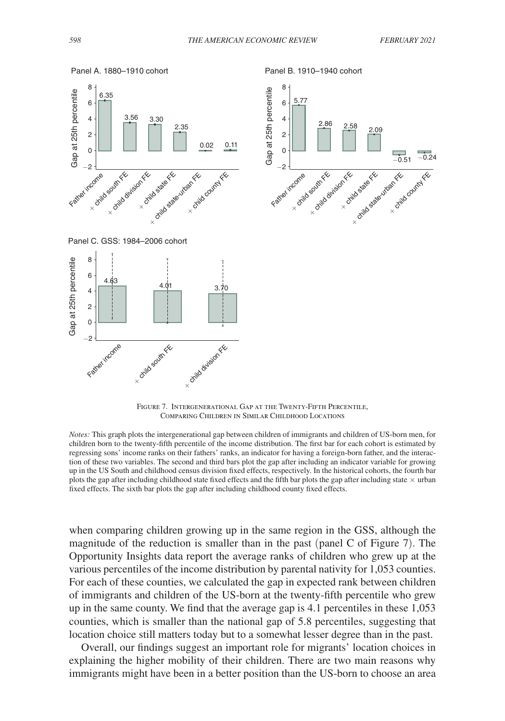

Panel B. 1910–1940 cohort







FIGURE 7. INTERGENERATIONAL GAP AT THE TWENTY-FIFTH PERCENTILE. Comparing Children in Similar Childhood Locations

*Notes:* This graph plots the intergenerational gap between children of immigrants and children of US-born men, for children born to the twenty-fifth percentile of the income distribution. The first bar for each cohort is estimated by regressing sons' income ranks on their fathers' ranks, an indicator for having a foreign-born father, and the interaction of these two variables. The second and third bars plot the gap after including an indicator variable for growing up in the US South and childhood census division fixed effects, respectively. In the historical cohorts, the fourth bar plots the gap after including childhood state fixed effects and the fifth bar plots the gap after including state  $\times$  urban fixed effects. The sixth bar plots the gap after including childhood county fixed effects.

when comparing children growing up in the same region in the GSS, although the magnitude of the reduction is smaller than in the past (panel C of Figure 7). The Opportunity Insights data report the average ranks of children who grew up at the various percentiles of the income distribution by parental nativity for 1,053 counties. For each of these counties, we calculated the gap in expected rank between children of immigrants and children of the US-born at the twenty-fifth percentile who grew up in the same county. We find that the average gap is 4.1 percentiles in these 1,053 counties, which is smaller than the national gap of 5.8 percentiles, suggesting that location choice still matters today but to a somewhat lesser degree than in the past.

Overall, our findings suggest an important role for migrants' location choices in explaining the higher mobility of their children. There are two main reasons why immigrants might have been in a better position than the US-born to choose an area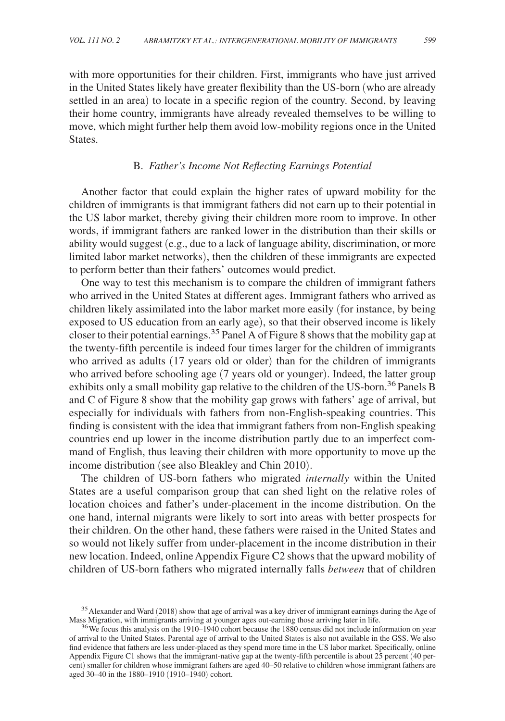with more opportunities for their children. First, immigrants who have just arrived in the United States likely have greater flexibility than the US-born (who are already settled in an area) to locate in a specific region of the country. Second, by leaving their home country, immigrants have already revealed themselves to be willing to move, which might further help them avoid low-mobility regions once in the United States.

#### B. *Father's Income Not Reflecting Earnings Potential*

Another factor that could explain the higher rates of upward mobility for the children of immigrants is that immigrant fathers did not earn up to their potential in the US labor market, thereby giving their children more room to improve. In other words, if immigrant fathers are ranked lower in the distribution than their skills or ability would suggest (e.g., due to a lack of language ability, discrimination, or more limited labor market networks), then the children of these immigrants are expected to perform better than their fathers' outcomes would predict.

One way to test this mechanism is to compare the children of immigrant fathers who arrived in the United States at different ages. Immigrant fathers who arrived as children likely assimilated into the labor market more easily (for instance, by being exposed to US education from an early age), so that their observed income is likely closer to their potential earnings.<sup>35</sup> Panel A of Figure 8 shows that the mobility gap at the twenty-fifth percentile is indeed four times larger for the children of immigrants who arrived as adults (17 years old or older) than for the children of immigrants who arrived before schooling age (7 years old or younger). Indeed, the latter group exhibits only a small mobility gap relative to the children of the US-born.<sup>36</sup> Panels B and C of Figure 8 show that the mobility gap grows with fathers' age of arrival, but especially for individuals with fathers from non-English-speaking countries. This finding is consistent with the idea that immigrant fathers from non-English speaking countries end up lower in the income distribution partly due to an imperfect command of English, thus leaving their children with more opportunity to move up the income distribution (see also Bleakley and Chin 2010).

The children of US-born fathers who migrated *internally* within the United States are a useful comparison group that can shed light on the relative roles of location choices and father's under-placement in the income distribution. On the one hand, internal migrants were likely to sort into areas with better prospects for their children. On the other hand, these fathers were raised in the United States and so would not likely suffer from under-placement in the income distribution in their new location. Indeed, online Appendix Figure C2 shows that the upward mobility of children of US-born fathers who migrated internally falls *between* that of children

<sup>&</sup>lt;sup>35</sup> Alexander and Ward (2018) show that age of arrival was a key driver of immigrant earnings during the Age of Mass Migration, with immigrants arriving at younger ages out-earning those arriving later in life.

<sup>&</sup>lt;sup>36</sup>We focus this analysis on the 1910–1940 cohort because the 1880 census did not include information on year of arrival to the United States. Parental age of arrival to the United States is also not available in the GSS. We also find evidence that fathers are less under-placed as they spend more time in the US labor market. Specifically, online Appendix Figure C1 shows that the immigrant-native gap at the twenty-fifth percentile is about 25 percent (40 percent) smaller for children whose immigrant fathers are aged 40–50 relative to children whose immigrant fathers are aged 30–40 in the 1880–1910 (1910–1940) cohort.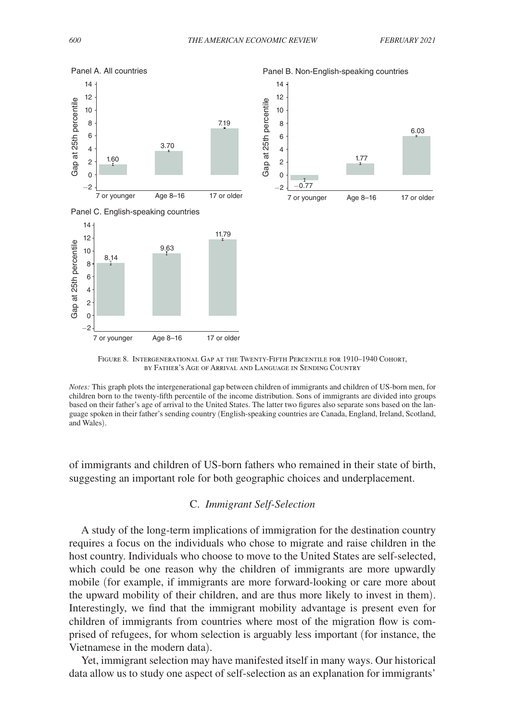

Figure 8. Intergenerational Gap at the Twenty-Fifth Percentile for 1910–1940 Cohort, by Father's Age of Arrival and Language in Sending Country

*Notes:* This graph plots the intergenerational gap between children of immigrants and children of US-born men, for children born to the twenty-fifth percentile of the income distribution. Sons of immigrants are divided into groups based on their father's age of arrival to the United States. The latter two figures also separate sons based on the language spoken in their father's sending country (English-speaking countries are Canada, England, Ireland, Scotland, and Wales).

of immigrants and children of US-born fathers who remained in their state of birth, suggesting an important role for both geographic choices and underplacement.

## C. *Immigrant Self-Selection*

A study of the long-term implications of immigration for the destination country requires a focus on the individuals who chose to migrate and raise children in the host country. Individuals who choose to move to the United States are self-selected, which could be one reason why the children of immigrants are more upwardly mobile (for example, if immigrants are more forward-looking or care more about the upward mobility of their children, and are thus more likely to invest in them). Interestingly, we find that the immigrant mobility advantage is present even for children of immigrants from countries where most of the migration flow is comprised of refugees, for whom selection is arguably less important (for instance, the Vietnamese in the modern data).

Yet, immigrant selection may have manifested itself in many ways. Our historical data allow us to study one aspect of self-selection as an explanation for immigrants'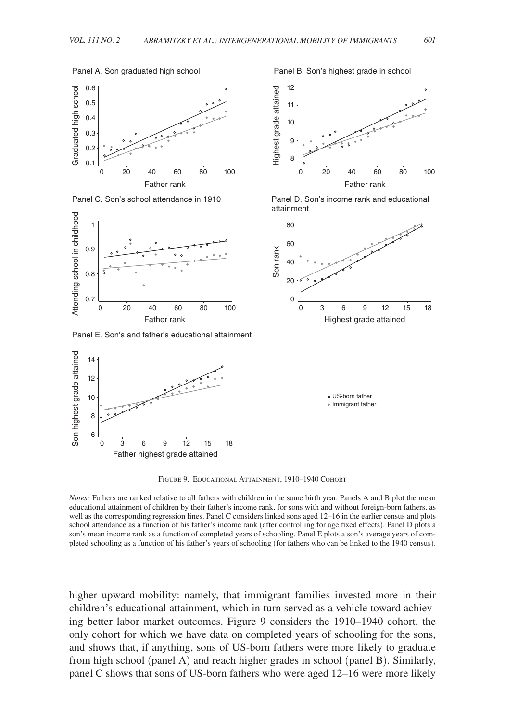#### Panel A. Son graduated high school



Panel C. Son's school attendance in 1910



Panel E. Son's and father's educational attainment







Panel D. Son's income rank and educational





Figure 9. Educational Attainment, 1910–1940 Cohort

higher upward mobility: namely, that immigrant families invested more in their children's educational attainment, which in turn served as a vehicle toward achieving better labor market outcomes. Figure 9 considers the 1910–1940 cohort, the only cohort for which we have data on completed years of schooling for the sons, and shows that, if anything, sons of US-born fathers were more likely to graduate from high school (panel A) and reach higher grades in school (panel B). Similarly, panel C shows that sons of US-born fathers who were aged 12–16 were more likely

*Notes:* Fathers are ranked relative to all fathers with children in the same birth year. Panels A and B plot the mean educational attainment of children by their father's income rank, for sons with and without foreign-born fathers, as well as the corresponding regression lines. Panel C considers linked sons aged 12–16 in the earlier census and plots school attendance as a function of his father's income rank (after controlling for age fixed effects). Panel D plots a son's mean income rank as a function of completed years of schooling. Panel E plots a son's average years of completed schooling as a function of his father's years of schooling (for fathers who can be linked to the 1940 census).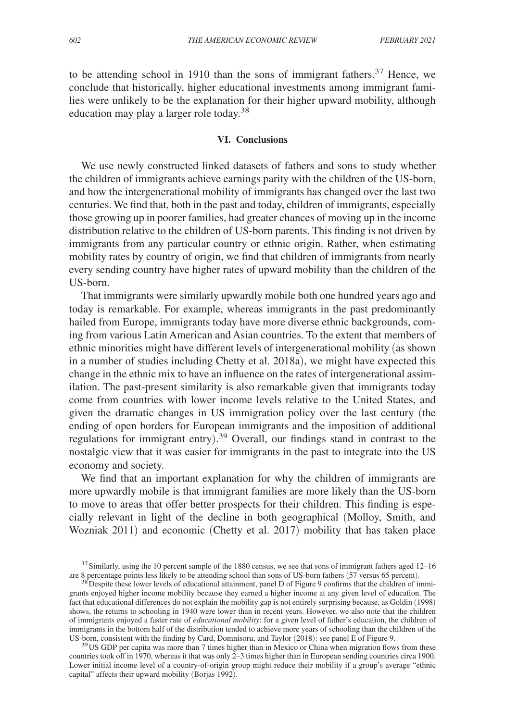to be attending school in 1910 than the sons of immigrant fathers.<sup>37</sup> Hence, we conclude that historically, higher educational investments among immigrant families were unlikely to be the explanation for their higher upward mobility, although education may play a larger role today.<sup>38</sup>

#### **VI. Conclusions**

We use newly constructed linked datasets of fathers and sons to study whether the children of immigrants achieve earnings parity with the children of the US-born, and how the intergenerational mobility of immigrants has changed over the last two centuries. We find that, both in the past and today, children of immigrants, especially those growing up in poorer families, had greater chances of moving up in the income distribution relative to the children of US-born parents. This finding is not driven by immigrants from any particular country or ethnic origin. Rather, when estimating mobility rates by country of origin, we find that children of immigrants from nearly every sending country have higher rates of upward mobility than the children of the US-born.

That immigrants were similarly upwardly mobile both one hundred years ago and today is remarkable. For example, whereas immigrants in the past predominantly hailed from Europe, immigrants today have more diverse ethnic backgrounds, coming from various Latin American and Asian countries. To the extent that members of ethnic minorities might have different levels of intergenerational mobility (as shown in a number of studies including Chetty et al. 2018a), we might have expected this change in the ethnic mix to have an influence on the rates of intergenerational assimilation. The past-present similarity is also remarkable given that immigrants today come from countries with lower income levels relative to the United States, and given the dramatic changes in US immigration policy over the last century (the ending of open borders for European immigrants and the imposition of additional regulations for immigrant entry). <sup>39</sup> Overall, our findings stand in contrast to the nostalgic view that it was easier for immigrants in the past to integrate into the US economy and society.

We find that an important explanation for why the children of immigrants are more upwardly mobile is that immigrant families are more likely than the US-born to move to areas that offer better prospects for their children. This finding is especially relevant in light of the decline in both geographical (Molloy, Smith, and Wozniak 2011) and economic (Chetty et al. 2017) mobility that has taken place

<sup>&</sup>lt;sup>37</sup> Similarly, using the 10 percent sample of the 1880 census, we see that sons of immigrant fathers aged 12–16 are 8 percentage points less likely to be attending school than sons of US-born fathers (57 versus 65 percent).

<sup>&</sup>lt;sup>38</sup> Despite these lower levels of educational attainment, panel D of Figure 9 confirms that the children of immigrants enjoyed higher income mobility because they earned a higher income at any given level of education. The fact that educational differences do not explain the mobility gap is not entirely surprising because, as Goldin (1998) shows, the returns to schooling in 1940 were lower than in recent years. However, we also note that the children of immigrants enjoyed a faster rate of *educational mobility*: for a given level of father's education, the children of immigrants in the bottom half of the distribution tended to achieve more years of schooling than the children of the US-born, consistent with the finding by Card, Domnisoru, and Taylor (2018): see panel E of Figure 9.

<sup>&</sup>lt;sup>39</sup>US GDP per capita was more than 7 times higher than in Mexico or China when migration flows from these countries took off in 1970, whereas it that was only  $2-3$  times higher than in European sending countries circa 1900. Lower initial income level of a country-of-origin group might reduce their mobility if a group's average "ethnic capital" affects their upward mobility (Borjas 1992).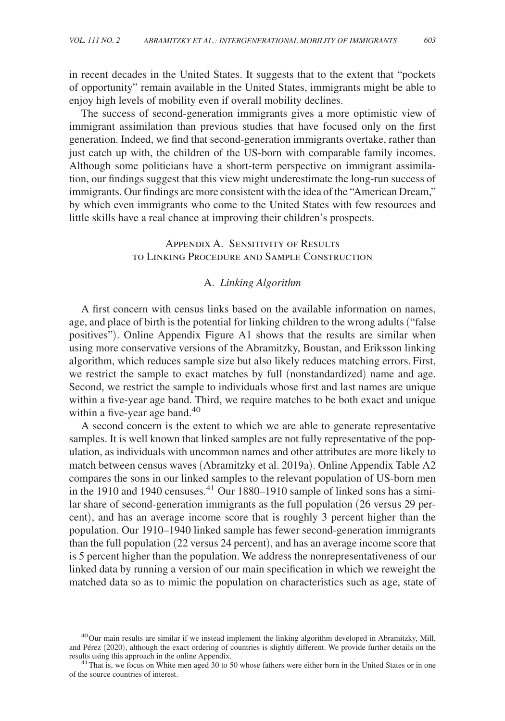in recent decades in the United States. It suggests that to the extent that "pockets of opportunity" remain available in the United States, immigrants might be able to enjoy high levels of mobility even if overall mobility declines.

The success of second-generation immigrants gives a more optimistic view of immigrant assimilation than previous studies that have focused only on the first generation. Indeed, we find that second-generation immigrants overtake, rather than just catch up with, the children of the US-born with comparable family incomes. Although some politicians have a short-term perspective on immigrant assimilation, our findings suggest that this view might underestimate the long-run success of immigrants. Our findings are more consistent with the idea of the "American Dream," by which even immigrants who come to the United States with few resources and little skills have a real chance at improving their children's prospects.

# Appendix A. Sensitivity of Results to Linking Procedure and Sample Construction

# A. *Linking Algorithm*

A first concern with census links based on the available information on names, age, and place of birth is the potential for linking children to the wrong adults ("false positives"). Online Appendix Figure A1 shows that the results are similar when using more conservative versions of the Abramitzky, Boustan, and Eriksson linking algorithm, which reduces sample size but also likely reduces matching errors. First, we restrict the sample to exact matches by full ( nonstandardized) name and age. Second, we restrict the sample to individuals whose first and last names are unique within a five-year age band. Third, we require matches to be both exact and unique within a five-year age band. $40$ 

A second concern is the extent to which we are able to generate representative samples. It is well known that linked samples are not fully representative of the population, as individuals with uncommon names and other attributes are more likely to match between census waves (Abramitzky et al. 2019a). Online Appendix Table A2 compares the sons in our linked samples to the relevant population of US-born men in the 1910 and 1940 censuses.<sup>41</sup> Our 1880–1910 sample of linked sons has a similar share of second-generation immigrants as the full population (26 versus 29 percent), and has an average income score that is roughly 3 percent higher than the population. Our 1910–1940 linked sample has fewer second-generation immigrants than the full population (22 versus 24 percent), and has an average income score that is 5 percent higher than the population. We address the nonrepresentativeness of our linked data by running a version of our main specification in which we reweight the matched data so as to mimic the population on characteristics such as age, state of

 $^{40}$ Our main results are similar if we instead implement the linking algorithm developed in Abramitzky, Mill, and Pérez (2020), although the exact ordering of countries is slightly different. We provide further details on the results using this approach in the online Appendix.

<sup>&</sup>lt;sup>41</sup>That is, we focus on White men aged 30 to 50 whose fathers were either born in the United States or in one of the source countries of interest.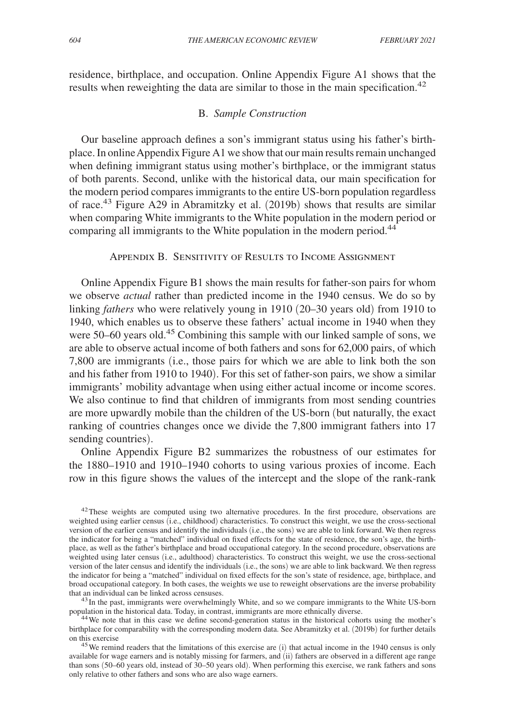residence, birthplace, and occupation. Online Appendix Figure A1 shows that the results when reweighting the data are similar to those in the main specification.<sup>42</sup>

# B. *Sample Construction*

Our baseline approach defines a son's immigrant status using his father's birthplace. In online Appendix Figure A1 we show that our main results remain unchanged when defining immigrant status using mother's birthplace, or the immigrant status of both parents. Second, unlike with the historical data, our main specification for the modern period compares immigrants to the entire US-born population regardless of race.43 Figure A29 in Abramitzky et al. (2019b) shows that results are similar when comparing White immigrants to the White population in the modern period or comparing all immigrants to the White population in the modern period.<sup>44</sup>

# Appendix B. Sensitivity of Results to Income Assignment

Online Appendix Figure B1 shows the main results for father-son pairs for whom we observe *actual* rather than predicted income in the 1940 census. We do so by linking *fathers* who were relatively young in 1910 (20–30 years old) from 1910 to 1940, which enables us to observe these fathers' actual income in 1940 when they were 50–60 years old.<sup>45</sup> Combining this sample with our linked sample of sons, we are able to observe actual income of both fathers and sons for 62,000 pairs, of which 7,800 are immigrants (i.e., those pairs for which we are able to link both the son and his father from 1910 to 1940). For this set of father-son pairs, we show a similar immigrants' mobility advantage when using either actual income or income scores. We also continue to find that children of immigrants from most sending countries are more upwardly mobile than the children of the US-born (but naturally, the exact ranking of countries changes once we divide the 7,800 immigrant fathers into 17 sending countries).

Online Appendix Figure B2 summarizes the robustness of our estimates for the 1880–1910 and 1910–1940 cohorts to using various proxies of income. Each row in this figure shows the values of the intercept and the slope of the rank-rank

<sup>43</sup>In the past, immigrants were overwhelmingly White, and so we compare immigrants to the White US-born population in the historical data. Today, in contrast, immigrants are more ethnically diverse.<br><sup>44</sup>We note that in this case we define second-generation status in the historical cohorts using the mother's

birthplace for comparability with the corresponding modern data. See Abramitzky et al. (2019b) for further details on this exercise

<sup>45</sup>We remind readers that the limitations of this exercise are (i) that actual income in the 1940 census is only available for wage earners and is notably missing for farmers, and (ii) fathers are observed in a different age range than sons (50–60 years old, instead of 30–50 years old). When performing this exercise, we rank fathers and sons only relative to other fathers and sons who are also wage earners.

<sup>&</sup>lt;sup>42</sup>These weights are computed using two alternative procedures. In the first procedure, observations are weighted using earlier census (i.e., childhood) characteristics. To construct this weight, we use the cross-sectional version of the earlier census and identify the individuals (i.e., the sons) we are able to link forward. We then regress the indicator for being a "matched" individual on fixed effects for the state of residence, the son's age, the birthplace, as well as the father's birthplace and broad occupational category. In the second procedure, observations are weighted using later census (i.e., adulthood) characteristics. To construct this weight, we use the cross-sectional version of the later census and identify the individuals (i.e., the sons) we are able to link backward. We then regress the indicator for being a "matched" individual on fixed effects for the son's state of residence, age, birthplace, and broad occupational category. In both cases, the weights we use to reweight observations are the inverse probability that an individual can be linked across censuses.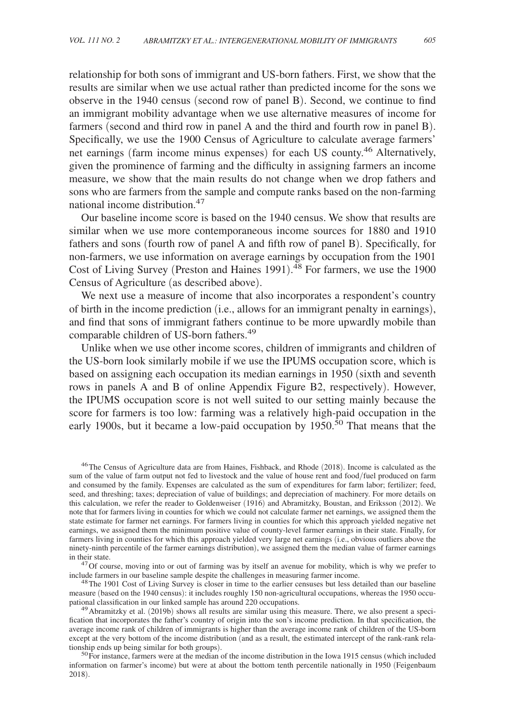relationship for both sons of immigrant and US-born fathers. First, we show that the results are similar when we use actual rather than predicted income for the sons we observe in the 1940 census (second row of panel B). Second, we continue to find an immigrant mobility advantage when we use alternative measures of income for farmers (second and third row in panel A and the third and fourth row in panel B). Specifically, we use the 1900 Census of Agriculture to calculate average farmers' net earnings (farm income minus expenses) for each US county.<sup>46</sup> Alternatively, given the prominence of farming and the difficulty in assigning farmers an income measure, we show that the main results do not change when we drop fathers and sons who are farmers from the sample and compute ranks based on the non-farming national income distribution.<sup>47</sup>

Our baseline income score is based on the 1940 census. We show that results are similar when we use more contemporaneous income sources for 1880 and 1910 fathers and sons (fourth row of panel A and fifth row of panel B). Specifically, for non-farmers, we use information on average earnings by occupation from the 1901 Cost of Living Survey (Preston and Haines 1991). <sup>48</sup> For farmers, we use the 1900 Census of Agriculture (as described above).

We next use a measure of income that also incorporates a respondent's country of birth in the income prediction (i.e., allows for an immigrant penalty in earnings), and find that sons of immigrant fathers continue to be more upwardly mobile than comparable children of US-born fathers.<sup>49</sup>

Unlike when we use other income scores, children of immigrants and children of the US-born look similarly mobile if we use the IPUMS occupation score, which is based on assigning each occupation its median earnings in 1950 (sixth and seventh rows in panels A and B of online Appendix Figure B2, respectively). However, the IPUMS occupation score is not well suited to our setting mainly because the score for farmers is too low: farming was a relatively high-paid occupation in the early 1900s, but it became a low-paid occupation by  $1950$ .<sup>50</sup> That means that the

<sup>&</sup>lt;sup>46</sup>The Census of Agriculture data are from Haines, Fishback, and Rhode (2018). Income is calculated as the sum of the value of farm output not fed to livestock and the value of house rent and food/fuel produced on farm and consumed by the family. Expenses are calculated as the sum of expenditures for farm labor; fertilizer; feed, seed, and threshing; taxes; depreciation of value of buildings; and depreciation of machinery. For more details on this calculation, we refer the reader to Goldenweiser (1916) and Abramitzky, Boustan, and Eriksson (2012). We note that for farmers living in counties for which we could not calculate farmer net earnings, we assigned them the state estimate for farmer net earnings. For farmers living in counties for which this approach yielded negative net earnings, we assigned them the minimum positive value of county-level farmer earnings in their state. Finally, for farmers living in counties for which this approach yielded very large net earnings (i.e., obvious outliers above the ninety-ninth percentile of the farmer earnings distribution), we assigned them the median value of farmer earnings in their state.

<sup>&</sup>lt;sup>47</sup>Of course, moving into or out of farming was by itself an avenue for mobility, which is why we prefer to include farmers in our baseline sample despite the challenges in measuring farmer income.

<sup>&</sup>lt;sup>48</sup>The 1901 Cost of Living Survey is closer in time to the earlier censuses but less detailed than our baseline measure (based on the 1940 census): it includes roughly 150 non-agricultural occupations, whereas the 1950 occupational classification in our linked sample has around 220 occupations.

<sup>&</sup>lt;sup>49</sup>Abramitzky et al. (2019b) shows all results are similar using this measure. There, we also present a specification that incorporates the father's country of origin into the son's income prediction. In that specification, the average income rank of children of immigrants is higher than the average income rank of children of the US-born except at the very bottom of the income distribution (and as a result, the estimated intercept of the rank-rank relationship ends up being similar for both groups).

<sup>&</sup>lt;sup>50</sup>For instance, farmers were at the median of the income distribution in the Iowa 1915 census (which included information on farmer's income) but were at about the bottom tenth percentile nationally in 1950 (Feigenbaum 2018).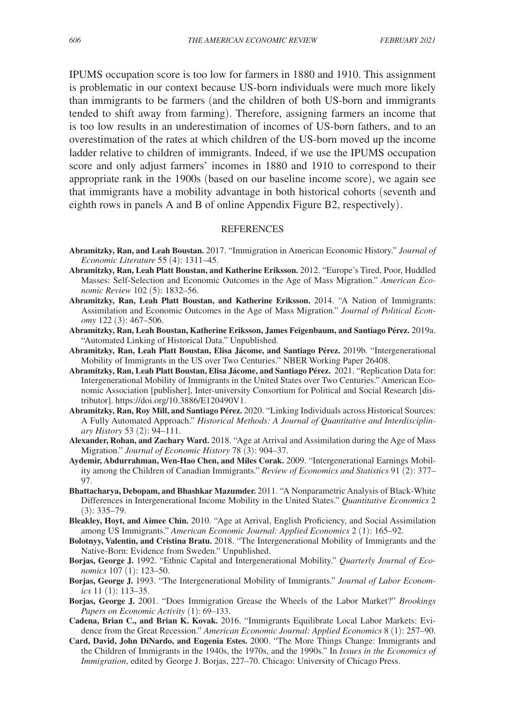IPUMS occupation score is too low for farmers in 1880 and 1910. This assignment is problematic in our context because US-born individuals were much more likely than immigrants to be farmers (and the children of both US-born and immigrants tended to shift away from farming). Therefore, assigning farmers an income that is too low results in an underestimation of incomes of US-born fathers, and to an overestimation of the rates at which children of the US-born moved up the income ladder relative to children of immigrants. Indeed, if we use the IPUMS occupation score and only adjust farmers' incomes in 1880 and 1910 to correspond to their appropriate rank in the 1900s (based on our baseline income score), we again see that immigrants have a mobility advantage in both historical cohorts (seventh and eighth rows in panels A and B of online Appendix Figure B2, respectively) .

#### **REFERENCES**

- **Abramitzky, Ran, and Leah Boustan.** 2017. "Immigration in American Economic History." *Journal of Economic Literature* 55 (4): 1311–45.
- **Abramitzky, Ran, Leah Platt Boustan, and Katherine Eriksson.** 2012. "Europe's Tired, Poor, Huddled Masses: Self-Selection and Economic Outcomes in the Age of Mass Migration." *American Economic Review* 102 (5): 1832–56.
- **Abramitzky, Ran, Leah Platt Boustan, and Katherine Eriksson.** 2014. "A Nation of Immigrants: Assimilation and Economic Outcomes in the Age of Mass Migration." *Journal of Political Economy* 122 (3): 467–506.
- **Abramitzky, Ran, Leah Boustan, Katherine Eriksson, James Feigenbaum, and Santiago Pérez.** 2019a. "Automated Linking of Historical Data." Unpublished.
- **Abramitzky, Ran, Leah Platt Boustan, Elisa Jácome, and Santiago Pérez.** 2019b. "Intergenerational Mobility of Immigrants in the US over Two Centuries." NBER Working Paper 26408.
- **Abramitzky, Ran, Leah Platt Boustan, Elisa Jácome, and Santiago Pérez.** 2021. "Replication Data for: Intergenerational Mobility of Immigrants in the United States over Two Centuries." American Economic Association [publisher], Inter-university Consortium for Political and Social Research [distributor]. https://doi.org/10.3886/E120490V1.
- **Abramitzky, Ran, Roy Mill, and Santiago Pérez.** 2020. "Linking Individuals across Historical Sources: A Fully Automated Approach." *Historical Methods: A Journal of Quantitative and Interdisciplinary History* 53 (2): 94–111.
- **Alexander, Rohan, and Zachary Ward.** 2018. "Age at Arrival and Assimilation during the Age of Mass Migration." *Journal of Economic History* 78 (3): 904–37.
- **Aydemir, Abdurrahman, Wen-Hao Chen, and Miles Corak.** 2009. "Intergenerational Earnings Mobility among the Children of Canadian Immigrants." *Review of Economics and Statistics* 91 (2): 377– 97.
- **Bhattacharya, Debopam, and Bhashkar Mazumder.** 2011. "A Nonparametric Analysis of Black-White Differences in Intergenerational Income Mobility in the United States." *Quantitative Economics* 2 (3): 335–79.
- **Bleakley, Hoyt, and Aimee Chin.** 2010. "Age at Arrival, English Proficiency, and Social Assimilation among US Immigrants." *American Economic Journal: Applied Economics* 2 (1): 165–92.
- **Bolotnyy, Valentin, and Cristina Bratu.** 2018. "The Intergenerational Mobility of Immigrants and the Native-Born: Evidence from Sweden." Unpublished.
- **Borjas, George J.** 1992. "Ethnic Capital and Intergenerational Mobility." *Quarterly Journal of Economics* 107 (1): 123–50.
- **Borjas, George J.** 1993. "The Intergenerational Mobility of Immigrants." *Journal of Labor Economics* 11 (1): 113–35.
- **Borjas, George J.** 2001. "Does Immigration Grease the Wheels of the Labor Market?" *Brookings Papers on Economic Activity* (1): 69–133.
- **Cadena, Brian C., and Brian K. Kovak.** 2016. "Immigrants Equilibrate Local Labor Markets: Evidence from the Great Recession." *American Economic Journal: Applied Economics* 8 (1): 257–90.
- **Card, David, John DiNardo, and Eugenia Estes.** 2000. "The More Things Change: Immigrants and the Children of Immigrants in the 1940s, the 1970s, and the 1990s." In *Issues in the Economics of Immigration*, edited by George J. Borjas, 227–70. Chicago: University of Chicago Press.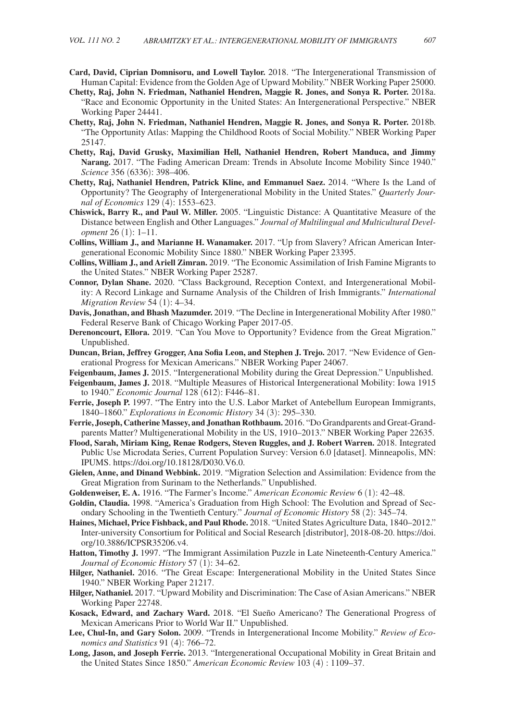- **Card, David, Ciprian Domnisoru, and Lowell Taylor.** 2018. "The Intergenerational Transmission of Human Capital: Evidence from the Golden Age of Upward Mobility." NBER Working Paper 25000.
- **Chetty, Raj, John N. Friedman, Nathaniel Hendren, Maggie R. Jones, and Sonya R. Porter.** 2018a. "Race and Economic Opportunity in the United States: An Intergenerational Perspective." NBER Working Paper 24441.
- **Chetty, Raj, John N. Friedman, Nathaniel Hendren, Maggie R. Jones, and Sonya R. Porter.** 2018b. "The Opportunity Atlas: Mapping the Childhood Roots of Social Mobility." NBER Working Paper 25147.
- **Chetty, Raj, David Grusky, Maximilian Hell, Nathaniel Hendren, Robert Manduca, and Jimmy Narang.** 2017. "The Fading American Dream: Trends in Absolute Income Mobility Since 1940." *Science* 356 (6336): 398–406.
- **Chetty, Raj, Nathaniel Hendren, Patrick Kline, and Emmanuel Saez.** 2014. "Where Is the Land of Opportunity? The Geography of Intergenerational Mobility in the United States." *Quarterly Journal of Economics* 129 (4): 1553–623.
- **Chiswick, Barry R., and Paul W. Miller.** 2005. "Linguistic Distance: A Quantitative Measure of the Distance between English and Other Languages." *Journal of Multilingual and Multicultural Development* 26 (1): 1–11.
- **Collins, William J., and Marianne H. Wanamaker.** 2017. "Up from Slavery? African American Intergenerational Economic Mobility Since 1880." NBER Working Paper 23395.
- **Collins, William J., and Ariell Zimran.** 2019. "The Economic Assimilation of Irish Famine Migrants to the United States." NBER Working Paper 25287.
- **Connor, Dylan Shane.** 2020. "Class Background, Reception Context, and Intergenerational Mobility: A Record Linkage and Surname Analysis of the Children of Irish Immigrants." *International Migration Review* 54 (1): 4–34.
- **Davis, Jonathan, and Bhash Mazumder.** 2019. "The Decline in Intergenerational Mobility After 1980." Federal Reserve Bank of Chicago Working Paper 2017-05.
- **Derenoncourt, Ellora.** 2019. "Can You Move to Opportunity? Evidence from the Great Migration." Unpublished.
- **Duncan, Brian, Jeffrey Grogger, Ana Sofia Leon, and Stephen J. Trejo.** 2017. "New Evidence of Generational Progress for Mexican Americans." NBER Working Paper 24067.
- **Feigenbaum, James J.** 2015. "Intergenerational Mobility during the Great Depression." Unpublished.
- **Feigenbaum, James J.** 2018. "Multiple Measures of Historical Intergenerational Mobility: Iowa 1915 to 1940." *Economic Journal* 128 (612): F446–81.
- Ferrie, Joseph P. 1997. "The Entry into the U.S. Labor Market of Antebellum European Immigrants, 1840–1860." *Explorations in Economic History* 34 (3): 295–330.
- **Ferrie, Joseph, Catherine Massey, and Jonathan Rothbaum.** 2016. "Do Grandparents and Great-Grandparents Matter? Multigenerational Mobility in the US, 1910–2013." NBER Working Paper 22635.
- **Flood, Sarah, Miriam King, Renae Rodgers, Steven Ruggles, and J. Robert Warren.** 2018. Integrated Public Use Microdata Series, Current Population Survey: Version 6.0 [dataset]. Minneapolis, MN: IPUMS. https://doi.org/10.18128/D030.V6.0.
- **Gielen, Anne, and Dinand Webbink.** 2019. "Migration Selection and Assimilation: Evidence from the Great Migration from Surinam to the Netherlands." Unpublished.
- **Goldenweiser, E. A.** 1916. "The Farmer's Income." *American Economic Review* 6 (1): 42–48.
- **Goldin, Claudia.** 1998. "America's Graduation from High School: The Evolution and Spread of Secondary Schooling in the Twentieth Century." *Journal of Economic History* 58 (2): 345–74.
- **Haines, Michael, Price Fishback, and Paul Rhode.** 2018. "United States Agriculture Data, 1840–2012." Inter-university Consortium for Political and Social Research [distributor], 2018-08-20. https://doi. org/10.3886/ICPSR35206.v4.
- **Hatton, Timothy J.** 1997. "The Immigrant Assimilation Puzzle in Late Nineteenth-Century America." *Journal of Economic History* 57 (1): 34–62.
- **Hilger, Nathaniel.** 2016. "The Great Escape: Intergenerational Mobility in the United States Since 1940." NBER Working Paper 21217.
- **Hilger, Nathaniel.** 2017. "Upward Mobility and Discrimination: The Case of Asian Americans." NBER Working Paper 22748.
- **Kosack, Edward, and Zachary Ward.** 2018. "El Sueño Americano? The Generational Progress of Mexican Americans Prior to World War II." Unpublished.
- **Lee, Chul-In, and Gary Solon.** 2009. "Trends in Intergenerational Income Mobility." *Review of Economics and Statistics* 91 (4): 766–72.
- **Long, Jason, and Joseph Ferrie.** 2013. "Intergenerational Occupational Mobility in Great Britain and the United States Since 1850." *American Economic Review* 103 (4) : 1109–37.